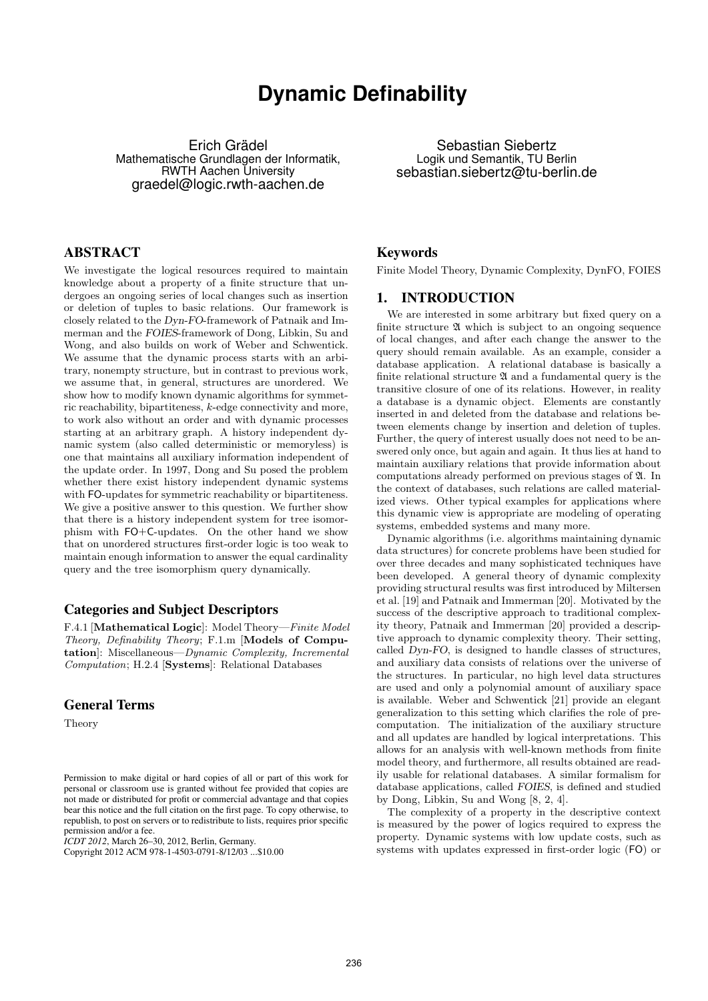# **Dynamic Definability**

Erich Grädel Mathematische Grundlagen der Informatik, RWTH Aachen University graedel@logic.rwth-aachen.de

ABSTRACT

We investigate the logical resources required to maintain knowledge about a property of a finite structure that undergoes an ongoing series of local changes such as insertion or deletion of tuples to basic relations. Our framework is closely related to the Dyn-FO-framework of Patnaik and Immerman and the FOIES-framework of Dong, Libkin, Su and Wong, and also builds on work of Weber and Schwentick. We assume that the dynamic process starts with an arbitrary, nonempty structure, but in contrast to previous work, we assume that, in general, structures are unordered. We show how to modify known dynamic algorithms for symmetric reachability, bipartiteness, k-edge connectivity and more, to work also without an order and with dynamic processes starting at an arbitrary graph. A history independent dynamic system (also called deterministic or memoryless) is one that maintains all auxiliary information independent of the update order. In 1997, Dong and Su posed the problem whether there exist history independent dynamic systems with FO-updates for symmetric reachability or bipartiteness. We give a positive answer to this question. We further show that there is a history independent system for tree isomorphism with FO+C-updates. On the other hand we show that on unordered structures first-order logic is too weak to maintain enough information to answer the equal cardinality query and the tree isomorphism query dynamically.

## Categories and Subject Descriptors

F.4.1 [Mathematical Logic]: Model Theory—Finite Model Theory, Definability Theory; F.1.m [Models of Computation]: Miscellaneous—Dynamic Complexity, Incremental Computation; H.2.4 [Systems]: Relational Databases

## General Terms

Theory

*ICDT 2012*, March 26–30, 2012, Berlin, Germany.

Sebastian Siebertz Logik und Semantik, TU Berlin sebastian.siebertz@tu-berlin.de

## Keywords

Finite Model Theory, Dynamic Complexity, DynFO, FOIES

# 1. INTRODUCTION

We are interested in some arbitrary but fixed query on a finite structure  $\mathfrak A$  which is subject to an ongoing sequence of local changes, and after each change the answer to the query should remain available. As an example, consider a database application. A relational database is basically a finite relational structure  $\mathfrak A$  and a fundamental query is the transitive closure of one of its relations. However, in reality a database is a dynamic object. Elements are constantly inserted in and deleted from the database and relations between elements change by insertion and deletion of tuples. Further, the query of interest usually does not need to be answered only once, but again and again. It thus lies at hand to maintain auxiliary relations that provide information about computations already performed on previous stages of A. In the context of databases, such relations are called materialized views. Other typical examples for applications where this dynamic view is appropriate are modeling of operating systems, embedded systems and many more.

Dynamic algorithms (i.e. algorithms maintaining dynamic data structures) for concrete problems have been studied for over three decades and many sophisticated techniques have been developed. A general theory of dynamic complexity providing structural results was first introduced by Miltersen et al. [19] and Patnaik and Immerman [20]. Motivated by the success of the descriptive approach to traditional complexity theory, Patnaik and Immerman [20] provided a descriptive approach to dynamic complexity theory. Their setting, called Dyn-FO, is designed to handle classes of structures, and auxiliary data consists of relations over the universe of the structures. In particular, no high level data structures are used and only a polynomial amount of auxiliary space is available. Weber and Schwentick [21] provide an elegant generalization to this setting which clarifies the role of precomputation. The initialization of the auxiliary structure and all updates are handled by logical interpretations. This allows for an analysis with well-known methods from finite model theory, and furthermore, all results obtained are readily usable for relational databases. A similar formalism for database applications, called FOIES, is defined and studied by Dong, Libkin, Su and Wong [8, 2, 4].

The complexity of a property in the descriptive context is measured by the power of logics required to express the property. Dynamic systems with low update costs, such as systems with updates expressed in first-order logic (FO) or

Permission to make digital or hard copies of all or part of this work for personal or classroom use is granted without fee provided that copies are not made or distributed for profit or commercial advantage and that copies bear this notice and the full citation on the first page. To copy otherwise, to republish, to post on servers or to redistribute to lists, requires prior specific permission and/or a fee.

Copyright 2012 ACM 978-1-4503-0791-8/12/03 ...\$10.00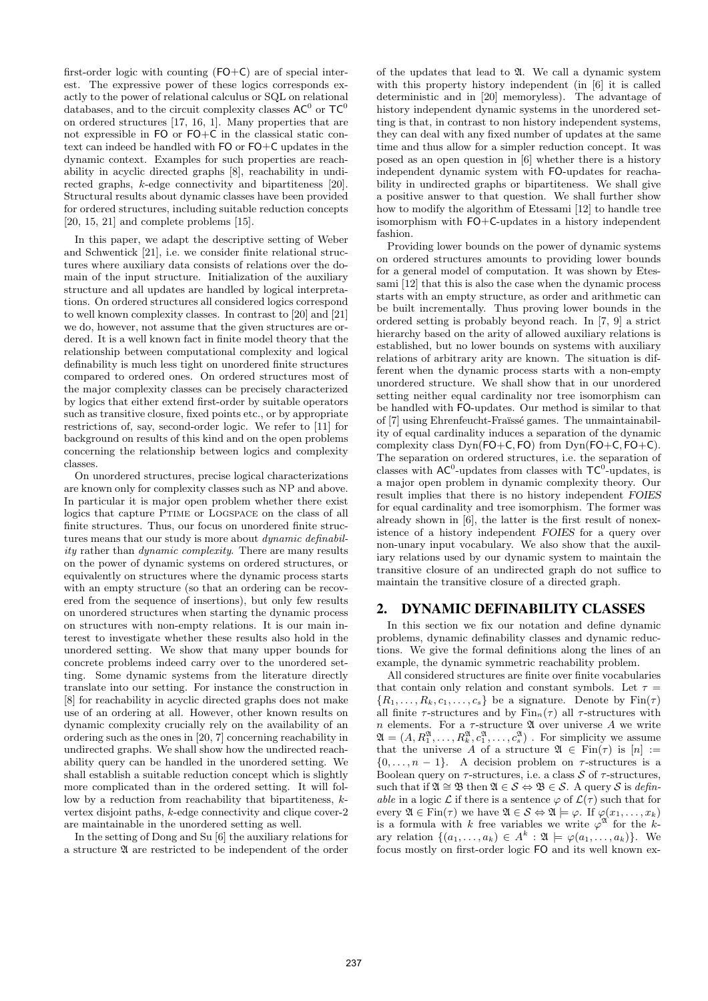first-order logic with counting (FO+C) are of special interest. The expressive power of these logics corresponds exactly to the power of relational calculus or SQL on relational databases, and to the circuit complexity classes  $AC^0$  or  $TC^0$ on ordered structures [17, 16, 1]. Many properties that are not expressible in FO or FO+C in the classical static context can indeed be handled with FO or FO+C updates in the dynamic context. Examples for such properties are reachability in acyclic directed graphs [8], reachability in undirected graphs, k-edge connectivity and bipartiteness [20]. Structural results about dynamic classes have been provided for ordered structures, including suitable reduction concepts [20, 15, 21] and complete problems [15].

In this paper, we adapt the descriptive setting of Weber and Schwentick [21], i.e. we consider finite relational structures where auxiliary data consists of relations over the domain of the input structure. Initialization of the auxiliary structure and all updates are handled by logical interpretations. On ordered structures all considered logics correspond to well known complexity classes. In contrast to [20] and [21] we do, however, not assume that the given structures are ordered. It is a well known fact in finite model theory that the relationship between computational complexity and logical definability is much less tight on unordered finite structures compared to ordered ones. On ordered structures most of the major complexity classes can be precisely characterized by logics that either extend first-order by suitable operators such as transitive closure, fixed points etc., or by appropriate restrictions of, say, second-order logic. We refer to [11] for background on results of this kind and on the open problems concerning the relationship between logics and complexity classes.

On unordered structures, precise logical characterizations are known only for complexity classes such as NP and above. In particular it is major open problem whether there exist logics that capture PTIME or LOGSPACE on the class of all finite structures. Thus, our focus on unordered finite structures means that our study is more about dynamic definability rather than dynamic complexity. There are many results on the power of dynamic systems on ordered structures, or equivalently on structures where the dynamic process starts with an empty structure (so that an ordering can be recovered from the sequence of insertions), but only few results on unordered structures when starting the dynamic process on structures with non-empty relations. It is our main interest to investigate whether these results also hold in the unordered setting. We show that many upper bounds for concrete problems indeed carry over to the unordered setting. Some dynamic systems from the literature directly translate into our setting. For instance the construction in [8] for reachability in acyclic directed graphs does not make use of an ordering at all. However, other known results on dynamic complexity crucially rely on the availability of an ordering such as the ones in [20, 7] concerning reachability in undirected graphs. We shall show how the undirected reachability query can be handled in the unordered setting. We shall establish a suitable reduction concept which is slightly more complicated than in the ordered setting. It will follow by a reduction from reachability that bipartiteness, kvertex disjoint paths, k-edge connectivity and clique cover-2 are maintainable in the unordered setting as well.

In the setting of Dong and Su [6] the auxiliary relations for a structure A are restricted to be independent of the order of the updates that lead to  $\mathfrak{A}$ . We call a dynamic system with this property history independent (in [6] it is called deterministic and in [20] memoryless). The advantage of history independent dynamic systems in the unordered setting is that, in contrast to non history independent systems, they can deal with any fixed number of updates at the same time and thus allow for a simpler reduction concept. It was posed as an open question in [6] whether there is a history independent dynamic system with FO-updates for reachability in undirected graphs or bipartiteness. We shall give a positive answer to that question. We shall further show how to modify the algorithm of Etessami [12] to handle tree isomorphism with FO+C-updates in a history independent fashion.

Providing lower bounds on the power of dynamic systems on ordered structures amounts to providing lower bounds for a general model of computation. It was shown by Etessami [12] that this is also the case when the dynamic process starts with an empty structure, as order and arithmetic can be built incrementally. Thus proving lower bounds in the ordered setting is probably beyond reach. In [7, 9] a strict hierarchy based on the arity of allowed auxiliary relations is established, but no lower bounds on systems with auxiliary relations of arbitrary arity are known. The situation is different when the dynamic process starts with a non-empty unordered structure. We shall show that in our unordered setting neither equal cardinality nor tree isomorphism can be handled with FO-updates. Our method is similar to that of [7] using Ehrenfeucht-Fraïssé games. The unmaintainability of equal cardinality induces a separation of the dynamic complexity class Dyn(FO+C, FO) from Dyn(FO+C, FO+C). The separation on ordered structures, i.e. the separation of classes with  $AC^0$ -updates from classes with  $TC^0$ -updates, is a major open problem in dynamic complexity theory. Our result implies that there is no history independent FOIES for equal cardinality and tree isomorphism. The former was already shown in [6], the latter is the first result of nonexistence of a history independent FOIES for a query over non-unary input vocabulary. We also show that the auxiliary relations used by our dynamic system to maintain the transitive closure of an undirected graph do not suffice to maintain the transitive closure of a directed graph.

#### 2. DYNAMIC DEFINABILITY CLASSES

In this section we fix our notation and define dynamic problems, dynamic definability classes and dynamic reductions. We give the formal definitions along the lines of an example, the dynamic symmetric reachability problem.

All considered structures are finite over finite vocabularies that contain only relation and constant symbols. Let  $\tau =$  ${R_1, \ldots, R_k, c_1, \ldots, c_s}$  be a signature. Denote by  $\text{Fin}(\tau)$ all finite  $\tau$ -structures and by  $\text{Fin}_n(\tau)$  all  $\tau$ -structures with n elements. For a  $\tau$ -structure  $\mathfrak A$  over universe A we write  $\mathfrak{A} = (A, R_1^{\mathfrak{A}}, \ldots, R_k^{\mathfrak{A}}, c_1^{\mathfrak{A}}, \ldots, c_s^{\mathfrak{A}})$ . For simplicity we assume that the universe A of a structure  $\mathfrak{A} \in \text{Fin}(\tau)$  is  $[n] :=$  $\{0, \ldots, n-1\}$ . A decision problem on  $\tau$ -structures is a Boolean query on  $\tau$ -structures, i.e. a class  $S$  of  $\tau$ -structures, such that if  $\mathfrak{A} \cong \mathfrak{B}$  then  $\mathfrak{A} \in \mathcal{S} \Leftrightarrow \mathfrak{B} \in \mathcal{S}$ . A query  $\mathcal{S}$  is definable in a logic  $\mathcal L$  if there is a sentence  $\varphi$  of  $\mathcal L(\tau)$  such that for every  $\mathfrak{A} \in \text{Fin}(\tau)$  we have  $\mathfrak{A} \in \mathcal{S} \Leftrightarrow \mathfrak{A} \models \varphi$ . If  $\varphi(x_1, \ldots, x_k)$ is a formula with k free variables we write  $\varphi^{\mathfrak{A}}$  for the kary relation  $\{(a_1,\ldots,a_k)\in A^k: \mathfrak{A}\models \varphi(a_1,\ldots,a_k)\}.$  We focus mostly on first-order logic FO and its well known ex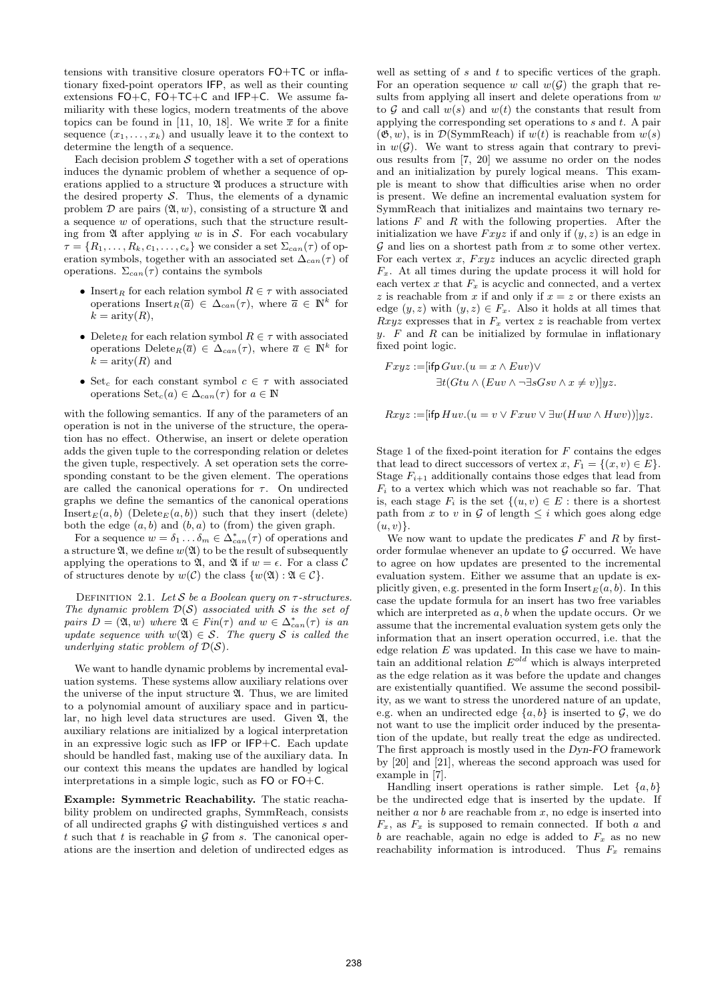tensions with transitive closure operators FO+TC or inflationary fixed-point operators IFP, as well as their counting extensions FO+C, FO+TC+C and IFP+C. We assume familiarity with these logics, modern treatments of the above topics can be found in [11, 10, 18]. We write  $\bar{x}$  for a finite sequence  $(x_1, \ldots, x_k)$  and usually leave it to the context to determine the length of a sequence.

Each decision problem  $S$  together with a set of operations induces the dynamic problem of whether a sequence of operations applied to a structure  $\mathfrak A$  produces a structure with the desired property  $\mathcal S$ . Thus, the elements of a dynamic problem  $\mathcal D$  are pairs  $(\mathfrak{A}, w)$ , consisting of a structure  $\mathfrak A$  and a sequence w of operations, such that the structure resulting from  $\mathfrak A$  after applying w is in  $\mathcal S$ . For each vocabulary  $\tau = \{R_1, \ldots, R_k, c_1, \ldots, c_s\}$  we consider a set  $\Sigma_{can}(\tau)$  of operation symbols, together with an associated set  $\Delta_{can}(\tau)$  of operations.  $\Sigma_{can}(\tau)$  contains the symbols

- Insert<sub>R</sub> for each relation symbol  $R \in \tau$  with associated operations Insert<sub>R</sub>( $\overline{a}$ )  $\in \Delta_{can}(\tau)$ , where  $\overline{a} \in \mathbb{N}^k$  for  $k = \text{arity}(R)$ ,
- Delete<sub>R</sub> for each relation symbol  $R \in \tau$  with associated operations Delete<sub>R</sub>( $\overline{a}$ )  $\in \Delta_{can}(\tau)$ , where  $\overline{a} \in \mathbb{N}^k$  for  $k = \text{arity}(R)$  and
- Set<sub>c</sub> for each constant symbol  $c \in \tau$  with associated operations  $\text{Set}_c(a) \in \Delta_{can}(\tau)$  for  $a \in \mathbb{N}$

with the following semantics. If any of the parameters of an operation is not in the universe of the structure, the operation has no effect. Otherwise, an insert or delete operation adds the given tuple to the corresponding relation or deletes the given tuple, respectively. A set operation sets the corresponding constant to be the given element. The operations are called the canonical operations for  $\tau$ . On undirected graphs we define the semantics of the canonical operations Insert<sub>E</sub> $(a, b)$  (Delete<sub>E</sub> $(a, b)$ ) such that they insert (delete) both the edge  $(a, b)$  and  $(b, a)$  to (from) the given graph.

For a sequence  $w = \delta_1 \dots \delta_m \in \Delta_{can}^*(\tau)$  of operations and a structure  $\mathfrak{A}$ , we define  $w(\mathfrak{A})$  to be the result of subsequently applying the operations to  $\mathfrak{A}$ , and  $\mathfrak{A}$  if  $w = \epsilon$ . For a class C of structures denote by  $w(\mathcal{C})$  the class  $\{w(\mathfrak{A}) : \mathfrak{A} \in \mathcal{C}\}.$ 

DEFINITION 2.1. Let S be a Boolean query on  $\tau$ -structures. The dynamic problem  $\mathcal{D}(\mathcal{S})$  associated with S is the set of pairs  $D = (\mathfrak{A}, w)$  where  $\mathfrak{A} \in Fin(\tau)$  and  $w \in \Delta_{can}^*(\tau)$  is an update sequence with  $w(\mathfrak{A}) \in \mathcal{S}$ . The query  $\mathcal S$  is called the underlying static problem of  $\mathcal{D}(\mathcal{S})$ .

We want to handle dynamic problems by incremental evaluation systems. These systems allow auxiliary relations over the universe of the input structure A. Thus, we are limited to a polynomial amount of auxiliary space and in particular, no high level data structures are used. Given  $\mathfrak{A}$ , the auxiliary relations are initialized by a logical interpretation in an expressive logic such as IFP or IFP+C. Each update should be handled fast, making use of the auxiliary data. In our context this means the updates are handled by logical interpretations in a simple logic, such as FO or FO+C.

Example: Symmetric Reachability. The static reachability problem on undirected graphs, SymmReach, consists of all undirected graphs  $G$  with distinguished vertices  $s$  and t such that t is reachable in  $G$  from s. The canonical operations are the insertion and deletion of undirected edges as

well as setting of  $s$  and  $t$  to specific vertices of the graph. For an operation sequence w call  $w(\mathcal{G})$  the graph that results from applying all insert and delete operations from  $w$ to  $G$  and call  $w(s)$  and  $w(t)$  the constants that result from applying the corresponding set operations to  $s$  and  $t$ . A pair  $(\mathfrak{G}, w)$ , is in  $\mathcal{D}(\mathrm{SymmReach})$  if  $w(t)$  is reachable from  $w(s)$ in  $w(\mathcal{G})$ . We want to stress again that contrary to previous results from [7, 20] we assume no order on the nodes and an initialization by purely logical means. This example is meant to show that difficulties arise when no order is present. We define an incremental evaluation system for SymmReach that initializes and maintains two ternary relations  $F$  and  $R$  with the following properties. After the initialization we have  $Fxyz$  if and only if  $(y, z)$  is an edge in  $\mathcal G$  and lies on a shortest path from  $x$  to some other vertex. For each vertex x,  $Fxyz$  induces an acyclic directed graph  $F_x$ . At all times during the update process it will hold for each vertex  $x$  that  $F_x$  is acyclic and connected, and a vertex z is reachable from x if and only if  $x = z$  or there exists an edge  $(y, z)$  with  $(y, z) \in F_x$ . Also it holds at all times that  $Rxyz$  expresses that in  $F_x$  vertex z is reachable from vertex  $y$ . F and R can be initialized by formulae in inflationary fixed point logic.

$$
Fxyz := [ifp Guv. (u = x \wedge Euv) \vee
$$
  

$$
\exists t(Gtu \wedge (Euv \wedge \neg \exists sGsv \wedge x \neq v))yz.
$$

 $Rxyz := [ifp Huv. (u = v \vee Fxuv \vee \exists w(Huw \wedge Hwv))]yz.$ 

Stage 1 of the fixed-point iteration for  $F$  contains the edges that lead to direct successors of vertex  $x, F_1 = \{(x, v) \in \overline{E}\}.$ Stage  $F_{i+1}$  additionally contains those edges that lead from  $F_i$  to a vertex which which was not reachable so far. That is, each stage  $F_i$  is the set  $\{(u, v) \in E : \text{there is a shortest}\}\$ path from x to v in  $\mathcal G$  of length  $\leq i$  which goes along edge  $(u, v)$ .

We now want to update the predicates  $F$  and  $R$  by firstorder formulae whenever an update to  $G$  occurred. We have to agree on how updates are presented to the incremental evaluation system. Either we assume that an update is explicitly given, e.g. presented in the form  $\text{Insert}_E(a, b)$ . In this case the update formula for an insert has two free variables which are interpreted as  $a, b$  when the update occurs. Or we assume that the incremental evaluation system gets only the information that an insert operation occurred, i.e. that the edge relation  $E$  was updated. In this case we have to maintain an additional relation  $E^{old}$  which is always interpreted as the edge relation as it was before the update and changes are existentially quantified. We assume the second possibility, as we want to stress the unordered nature of an update, e.g. when an undirected edge  $\{a, b\}$  is inserted to  $\mathcal{G}$ , we do not want to use the implicit order induced by the presentation of the update, but really treat the edge as undirected. The first approach is mostly used in the Dyn-FO framework by [20] and [21], whereas the second approach was used for example in [7].

Handling insert operations is rather simple. Let  $\{a, b\}$ be the undirected edge that is inserted by the update. If neither  $a$  nor  $b$  are reachable from  $x$ , no edge is inserted into  $F_x$ , as  $F_x$  is supposed to remain connected. If both a and b are reachable, again no edge is added to  $F_x$  as no new reachability information is introduced. Thus  $F_x$  remains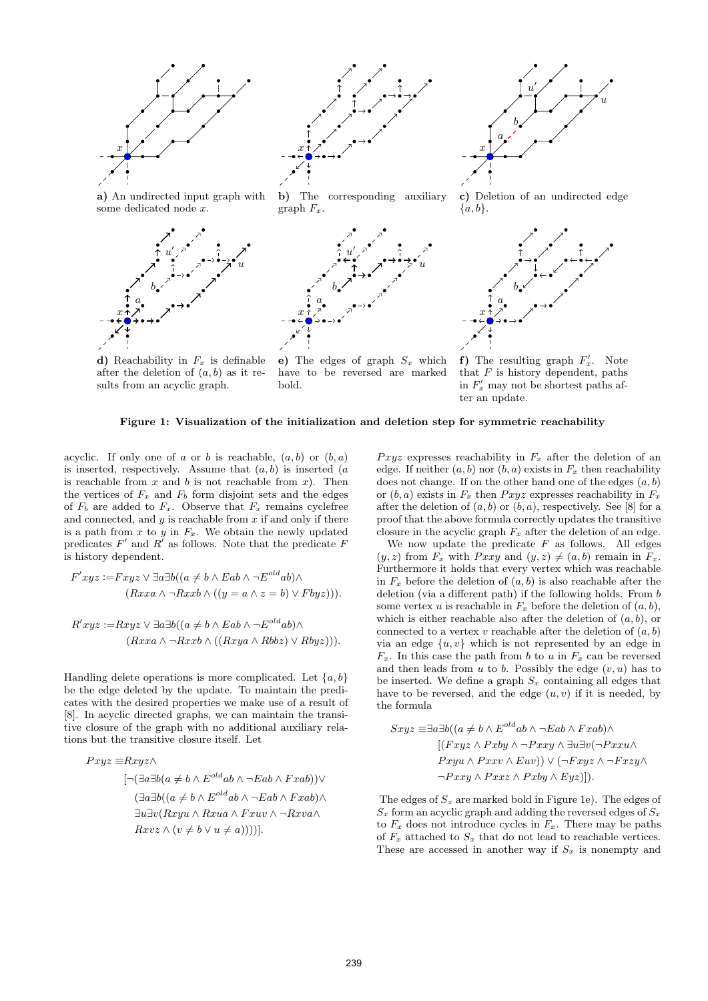



a) An undirected input graph with some dedicated node x.



after the deletion of  $(a, b)$  as it results from an acyclic graph.

b) The corresponding auxiliary graph  $F_x$ .



e) The edges of graph  $S<sub>x</sub>$  which have to be reversed are marked bold.



c) Deletion of an undirected edge  ${a, b}.$ 



**f)** The resulting graph  $F'_x$ . Note that  $F$  is history dependent, paths in  $F'_x$  may not be shortest paths after an update.

#### Figure 1: Visualization of the initialization and deletion step for symmetric reachability

acyclic. If only one of a or b is reachable,  $(a, b)$  or  $(b, a)$ is inserted, respectively. Assume that  $(a, b)$  is inserted  $(a, b)$ is reachable from  $x$  and  $b$  is not reachable from  $x$ ). Then the vertices of  $F_x$  and  $F_b$  form disjoint sets and the edges of  $F_b$  are added to  $F_x$ . Observe that  $F_x$  remains cyclefree and connected, and  $y$  is reachable from  $x$  if and only if there is a path from  $x$  to  $y$  in  $F_x$ . We obtain the newly updated predicates  $F'$  and  $R'$  as follows. Note that the predicate  $F$ is history dependent.

$$
F'xyz := Fxyz \lor \exists a \exists b((a \neq b \land Eab \land \neg E^{old}ab) \land
$$

$$
(Rxxa \land \neg Rxxb \land ((y = a \land z = b) \lor Fbyz))).
$$

$$
R'xyz := Rxyz \vee \exists a \exists b((a \neq b \wedge Eab \wedge \neg E^{old}ab) \wedge (Rxxa \wedge \neg Rxxb \wedge ((Rxya \wedge Rbbz) \vee Rbyz))).
$$

Handling delete operations is more complicated. Let  $\{a, b\}$ be the edge deleted by the update. To maintain the predicates with the desired properties we make use of a result of [8]. In acyclic directed graphs, we can maintain the transitive closure of the graph with no additional auxiliary relations but the transitive closure itself. Let

$$
Pxyz \equiv Rxyz \land
$$
  
\n
$$
[\neg(\exists a \exists b (a \neq b \land E^{old}ab \land \neg Eab \land Fxab)) \lor
$$
  
\n
$$
(\exists a \exists b ((a \neq b \land E^{old}ab \land \neg Eab \land Fxab) \land
$$
  
\n
$$
\exists u \exists v (Rxyu \land Rxua \land Fxuv \land \neg Rxva \land
$$
  
\n
$$
Rxvz \land (v \neq b \lor u \neq a))))].
$$

Pxyz expresses reachability in  $F_x$  after the deletion of an edge. If neither  $(a, b)$  nor  $(b, a)$  exists in  $F_x$  then reachability does not change. If on the other hand one of the edges  $(a, b)$ or  $(b, a)$  exists in  $F_x$  then Pxyz expresses reachability in  $F_x$ after the deletion of  $(a, b)$  or  $(b, a)$ , respectively. See [8] for a proof that the above formula correctly updates the transitive closure in the acyclic graph  $F_x$  after the deletion of an edge.

We now update the predicate  $F$  as follows. All edges  $(y, z)$  from  $F_x$  with  $P xxy$  and  $(y, z) \neq (a, b)$  remain in  $F_x$ . Furthermore it holds that every vertex which was reachable in  $F<sub>x</sub>$  before the deletion of  $(a, b)$  is also reachable after the deletion (via a different path) if the following holds. From b some vertex u is reachable in  $F_x$  before the deletion of  $(a, b)$ , which is either reachable also after the deletion of  $(a, b)$ , or connected to a vertex v reachable after the deletion of  $(a, b)$ via an edge  $\{u, v\}$  which is not represented by an edge in  $F_x$ . In this case the path from b to u in  $F_x$  can be reversed and then leads from  $u$  to  $b$ . Possibly the edge  $(v, u)$  has to be inserted. We define a graph  $S_x$  containing all edges that have to be reversed, and the edge  $(u, v)$  if it is needed, by the formula

$$
Sxyz \equiv \exists a \exists b ((a \neq b \land E^{old}ab \land \neg Eab \land Fxab) \land
$$
  
\n
$$
[(Fxyz \land Pxby \land \neg Pxxy \land \exists u \exists v (\neg Pxxu \land Pxyu \land Pxxv \land Euv)) \lor (\neg Fxyz \land \neg Fxzy \land \neg Pxxy \land Pxxz \land Pxyb \land Eyz)]).
$$

The edges of  $S_x$  are marked bold in Figure 1e). The edges of  $S_x$  form an acyclic graph and adding the reversed edges of  $S_x$ to  $F_x$  does not introduce cycles in  $F_x$ . There may be paths of  $F_x$  attached to  $S_x$  that do not lead to reachable vertices. These are accessed in another way if  $S_x$  is nonempty and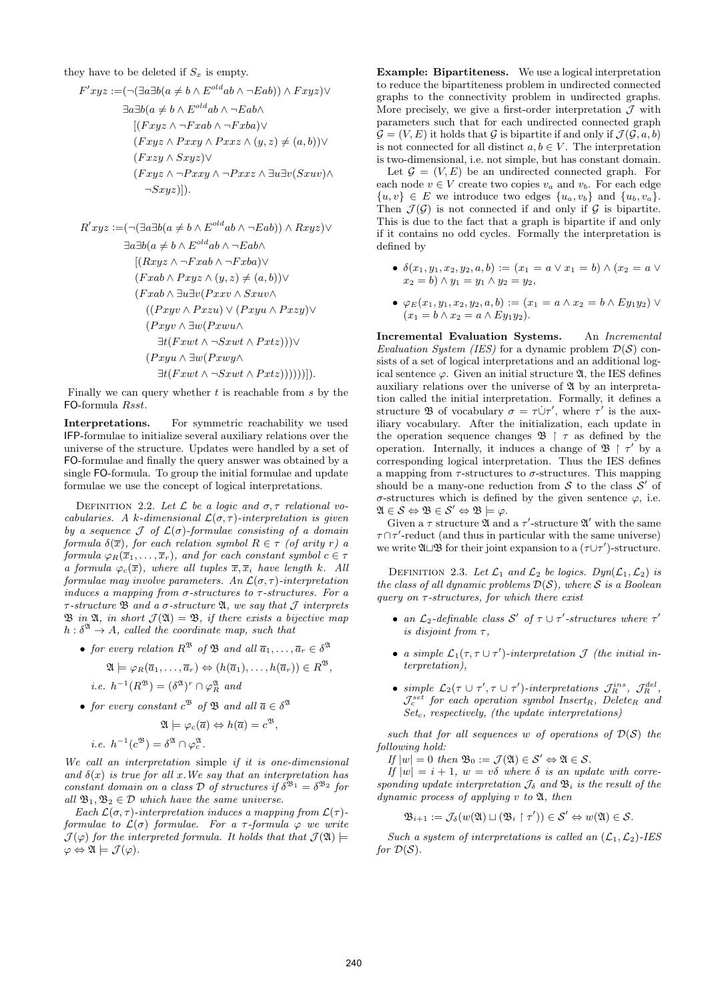they have to be deleted if  $S_x$  is empty.

$$
F'xyz := (\neg(\exists a \exists b (a \neq b \land E^{old}ab \land \neg Eab)) \land Fxyz) \lor
$$
  
\n
$$
\exists a \exists b (a \neq b \land E^{old}ab \land \neg Eab \land
$$
  
\n
$$
[(Fxyz \land \neg Fxab \land \neg Fxba) \lor
$$
  
\n
$$
(Fxyz \land Pxxy \land Pxxz \land (y, z) \neq (a, b)) \lor
$$
  
\n
$$
(Fxyz \land Sxyz) \lor
$$
  
\n
$$
(Fxyz \land \neg Pxxy \land \neg Pxxz \land \exists u \exists v (Sxuv) \land
$$
  
\n
$$
\neg Sxyz)]).
$$

$$
R'xyz := (\neg(\exists a \exists b(a \neq b \land E^{old}ab \land \neg Eab)) \land Rxyz) \lor
$$
  
\n
$$
\exists a \exists b(a \neq b \land E^{old}ab \land \neg Eab \land
$$
  
\n
$$
[(Rxyz \land \neg Fxab \land \neg Fxba) \lor
$$
  
\n
$$
(Fxab \land Pxyz \land (y, z) \neq (a, b)) \lor
$$
  
\n
$$
(Fxab \land \exists u \exists v(Pxxv \land Sxuv \land
$$
  
\n
$$
((Pxyv \land Pxzu) \lor (Pxyu \land Pxzy) \lor
$$
  
\n
$$
(Pxyv \land \exists w(Pxwu \land
$$
  
\n
$$
\exists t(Fxwt \land \neg Sxwt \land Pxtz)))))))
$$
  
\n
$$
(\neg Fxyu \land \exists w(Pxwy \land
$$
  
\n
$$
\exists t(Fxwt \land \neg Sxwt \land Pxtz)))))))
$$

Finally we can query whether  $t$  is reachable from  $s$  by the FO-formula Rsst.

Interpretations. For symmetric reachability we used IFP-formulae to initialize several auxiliary relations over the universe of the structure. Updates were handled by a set of FO-formulae and finally the query answer was obtained by a single FO-formula. To group the initial formulae and update formulae we use the concept of logical interpretations.

DEFINITION 2.2. Let  $\mathcal L$  be a logic and  $\sigma, \tau$  relational vocabularies. A k-dimensional  $\mathcal{L}(\sigma, \tau)$ -interpretation is given by a sequence  $\mathcal J$  of  $\mathcal L(\sigma)$ -formulae consisting of a domain formula  $\delta(\overline{x})$ , for each relation symbol  $R \in \tau$  (of arity r) a formula  $\varphi_R(\overline{x}_1,\ldots,\overline{x}_r)$ , and for each constant symbol  $c \in \tau$ a formula  $\varphi_c(\overline{x})$ , where all tuples  $\overline{x}, \overline{x}_i$  have length k. All formulae may involve parameters. An  $\mathcal{L}(\sigma, \tau)$ -interpretation induces a mapping from  $\sigma$ -structures to  $\tau$ -structures. For a  $\tau$ -structure  $\mathfrak B$  and a  $\sigma$ -structure  $\mathfrak A$ , we say that  $\mathcal J$  interprets  $\mathfrak{B}$  in  $\mathfrak{A}$ , in short  $\mathcal{J}(\mathfrak{A}) = \mathfrak{B}$ , if there exists a bijective map  $h: \delta^{\mathfrak{A}} \rightarrow A$ , called the coordinate map, such that

• for every relation  $R^{\mathfrak{B}}$  of  $\mathfrak{B}$  and all  $\overline{a}_1, \ldots, \overline{a}_r \in \delta^{\mathfrak{A}}$ 

$$
\mathfrak{A} \models \varphi_R(\overline{a}_1, \dots, \overline{a}_r) \Leftrightarrow (h(\overline{a}_1), \dots, h(\overline{a}_r)) \in R^{\mathfrak{B}},
$$
  
*i.e.*  $h^{-1}(R^{\mathfrak{B}}) = (\delta^{\mathfrak{A}})^r \cap \varphi_R^{\mathfrak{A}} \text{ and }$ 

• for every constant  $c^{25}$  of  $\mathfrak{B}$  and all  $\overline{a} \in \delta^{20}$ 

$$
\mathfrak{A} \models \varphi_c(\overline{a}) \Leftrightarrow h(\overline{a}) = c^{\mathfrak{B}},
$$

i.e. 
$$
h^{-1}(c^{\mathfrak{B}}) = \delta^{\mathfrak{A}} \cap \varphi_c^{\mathfrak{A}}
$$
.

We call an interpretation simple if it is one-dimensional and  $\delta(x)$  is true for all x. We say that an interpretation has constant domain on a class  $\mathcal D$  of structures if  $\delta^{\mathfrak{B}_1} = \delta^{\mathfrak{B}_2}$  for all  $\mathfrak{B}_1, \mathfrak{B}_2 \in \mathcal{D}$  which have the same universe.

Each  $\mathcal{L}(\sigma, \tau)$ -interpretation induces a mapping from  $\mathcal{L}(\tau)$ formulae to  $\mathcal{L}(\sigma)$  formulae. For a  $\tau$ -formula  $\varphi$  we write  $\mathcal{J}(\varphi)$  for the interpreted formula. It holds that that  $\mathcal{J}(\mathfrak{A})$   $\models$  $\varphi \Leftrightarrow \mathfrak{A} \models \mathcal{J}(\varphi).$ 

Example: Bipartiteness. We use a logical interpretation to reduce the bipartiteness problem in undirected connected graphs to the connectivity problem in undirected graphs. More precisely, we give a first-order interpretation  $\mathcal J$  with parameters such that for each undirected connected graph  $\mathcal{G} = (V, E)$  it holds that  $\mathcal G$  is bipartite if and only if  $\mathcal J(\mathcal G, a, b)$ is not connected for all distinct  $a, b \in V$ . The interpretation is two-dimensional, i.e. not simple, but has constant domain.

Let  $\mathcal{G} = (V, E)$  be an undirected connected graph. For each node  $v \in V$  create two copies  $v_a$  and  $v_b$ . For each edge  $\{u, v\} \in E$  we introduce two edges  $\{u_a, v_b\}$  and  $\{u_b, v_a\}$ . Then  $\mathcal{J}(\mathcal{G})$  is not connected if and only if  $\mathcal{G}$  is bipartite. This is due to the fact that a graph is bipartite if and only if it contains no odd cycles. Formally the interpretation is defined by

- $\delta(x_1, y_1, x_2, y_2, a, b) := (x_1 = a \vee x_1 = b) \wedge (x_2 = a \vee x_1)$  $x_2 = b$ )  $\wedge y_1 = y_1 \wedge y_2 = y_2$ ,
- $\varphi_E(x_1, y_1, x_2, y_2, a, b) := (x_1 = a \land x_2 = b \land Ey_1y_2) \lor$  $(x_1 = b \land x_2 = a \land Ey_1y_2).$

Incremental Evaluation Systems. An Incremental Evaluation System (IES) for a dynamic problem  $\mathcal{D}(\mathcal{S})$  consists of a set of logical interpretations and an additional logical sentence  $\varphi$ . Given an initial structure  $\mathfrak{A}$ , the IES defines auxiliary relations over the universe of A by an interpretation called the initial interpretation. Formally, it defines a structure **B** of vocabulary  $\sigma = \tau \dot{\cup} \tau'$ , where  $\tau'$  is the auxiliary vocabulary. After the initialization, each update in the operation sequence changes  $\mathfrak{B} \restriction \tau$  as defined by the operation. Internally, it induces a change of  $\mathfrak{B} \restriction \tau'$  by a corresponding logical interpretation. Thus the IES defines a mapping from  $\tau$ -structures to  $\sigma$ -structures. This mapping should be a many-one reduction from  $S$  to the class  $S'$  of  $\sigma$ -structures which is defined by the given sentence  $\varphi$ , i.e.  $\mathfrak{A} \in \mathcal{S} \Leftrightarrow \mathfrak{B} \in \mathcal{S}' \Leftrightarrow \mathfrak{B} \models \varphi.$ 

Given a  $\tau$  structure  $\mathfrak A$  and a  $\tau'$ -structure  $\mathfrak A'$  with the same  $\tau \cap \tau'$ -reduct (and thus in particular with the same universe) we write  $\mathfrak{A} \sqcup \mathfrak{B}$  for their joint expansion to a  $(\tau \cup \tau')$ -structure.

DEFINITION 2.3. Let  $\mathcal{L}_1$  and  $\mathcal{L}_2$  be logics. Dyn( $\mathcal{L}_1, \mathcal{L}_2$ ) is the class of all dynamic problems  $\mathcal{D}(S)$ , where S is a Boolean query on  $\tau$ -structures, for which there exist

- an  $\mathcal{L}_2$ -definable class  $\mathcal{S}'$  of  $\tau \cup \tau'$ -structures where  $\tau'$ is disjoint from  $\tau$ ,
- a simple  $\mathcal{L}_1(\tau, \tau \cup \tau')$ -interpretation  $\mathcal J$  (the initial interpretation),
- simple  $\mathcal{L}_2(\tau \cup \tau', \tau \cup \tau')$ -interpretations  $\mathcal{J}_R^{ins}$ ,  $\mathcal{J}_R^{del}$ ,  $\mathcal{J}_c^{set}$  for each operation symbol Insert<sub>R</sub>, Delete<sub>R</sub> and  $Set_{c}$ , respectively, (the update interpretations)

such that for all sequences w of operations of  $D(S)$  the following hold:

If  $|w| = 0$  then  $\mathfrak{B}_0 := \mathcal{J}(\mathfrak{A}) \in \mathcal{S}' \Leftrightarrow \mathfrak{A} \in \mathcal{S}.$ 

If  $|w| = i + 1$ ,  $w = v\delta$  where  $\delta$  is an update with corresponding update interpretation  $\mathcal{J}_{\delta}$  and  $\mathfrak{B}_{i}$  is the result of the  $dynamic$  process of applying v to  $\mathfrak{A}$ , then

$$
\mathfrak{B}_{i+1} := \mathcal{J}_{\delta}(w(\mathfrak{A}) \sqcup (\mathfrak{B}_{i} \upharpoonright \tau')) \in \mathcal{S}' \Leftrightarrow w(\mathfrak{A}) \in \mathcal{S}.
$$

Such a system of interpretations is called an  $(\mathcal{L}_1, \mathcal{L}_2)$ -IES for  $\mathcal{D}(\mathcal{S})$ .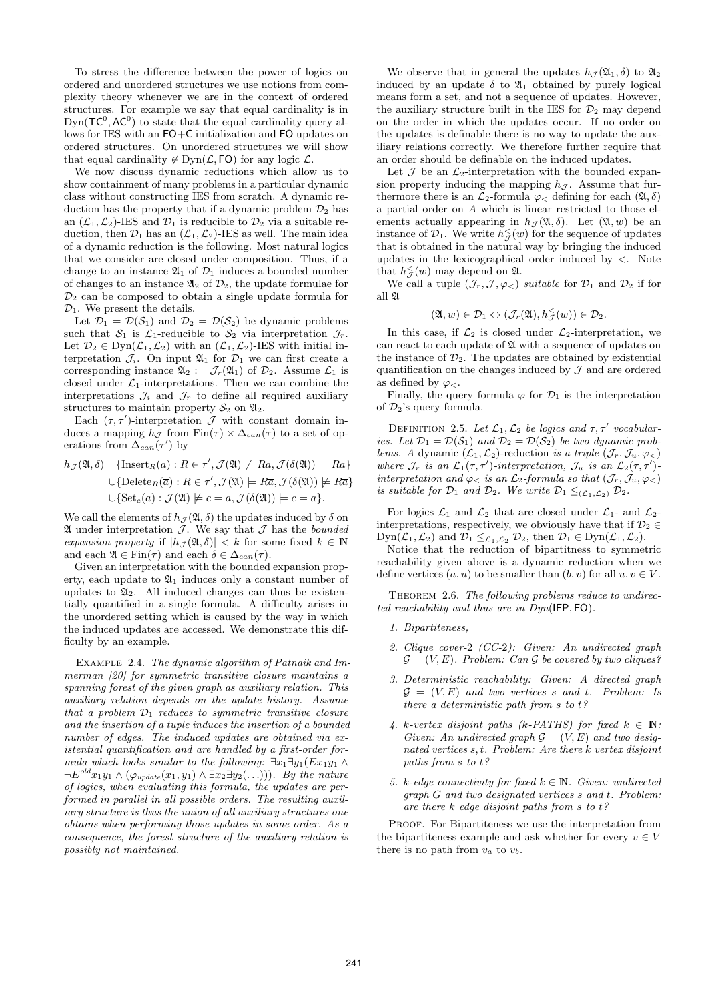To stress the difference between the power of logics on ordered and unordered structures we use notions from complexity theory whenever we are in the context of ordered structures. For example we say that equal cardinality is in  $\text{Dyn}(\textsf{TC}^0, \textsf{AC}^0)$  to state that the equal cardinality query allows for IES with an FO+C initialization and FO updates on ordered structures. On unordered structures we will show that equal cardinality  $\notin \text{Dyn}(\mathcal{L}, \text{FO})$  for any logic  $\mathcal{L}$ .

We now discuss dynamic reductions which allow us to show containment of many problems in a particular dynamic class without constructing IES from scratch. A dynamic reduction has the property that if a dynamic problem  $\mathcal{D}_2$  has an  $(\mathcal{L}_1, \mathcal{L}_2)$ -IES and  $\mathcal{D}_1$  is reducible to  $\mathcal{D}_2$  via a suitable reduction, then  $\mathcal{D}_1$  has an  $(\mathcal{L}_1, \mathcal{L}_2)$ -IES as well. The main idea of a dynamic reduction is the following. Most natural logics that we consider are closed under composition. Thus, if a change to an instance  $\mathfrak{A}_1$  of  $\mathcal{D}_1$  induces a bounded number of changes to an instance  $\mathfrak{A}_2$  of  $\mathcal{D}_2$ , the update formulae for  $\mathcal{D}_2$  can be composed to obtain a single update formula for  $\mathcal{D}_1$ . We present the details.

Let  $\mathcal{D}_1 = \mathcal{D}(\mathcal{S}_1)$  and  $\mathcal{D}_2 = \mathcal{D}(\mathcal{S}_2)$  be dynamic problems such that  $S_1$  is  $\mathcal{L}_1$ -reducible to  $S_2$  via interpretation  $\mathcal{J}_r$ . Let  $\mathcal{D}_2 \in \text{Dyn}(\mathcal{L}_1, \mathcal{L}_2)$  with an  $(\mathcal{L}_1, \mathcal{L}_2)$ -IES with initial interpretation  $\mathcal{J}_i$ . On input  $\mathfrak{A}_1$  for  $\mathcal{D}_1$  we can first create a corresponding instance  $\mathfrak{A}_2 := \mathcal{J}_r(\mathfrak{A}_1)$  of  $\mathcal{D}_2$ . Assume  $\mathcal{L}_1$  is closed under  $\mathcal{L}_1$ -interpretations. Then we can combine the interpretations  $\mathcal{J}_i$  and  $\mathcal{J}_r$  to define all required auxiliary structures to maintain property  $S_2$  on  $\mathfrak{A}_2$ .

Each  $(\tau, \tau')$ -interpretation  $\mathcal J$  with constant domain induces a mapping  $h_{\mathcal{J}}$  from Fin( $\tau$ ) ×  $\Delta_{can}(\tau)$  to a set of operations from  $\Delta_{can}(\tau')$  by

$$
h_{\mathcal{J}}(\mathfrak{A}, \delta) = \{ \text{Insert}_R(\overline{a}) : R \in \tau', \mathcal{J}(\mathfrak{A}) \not\models R\overline{a}, \mathcal{J}(\delta(\mathfrak{A})) \models R\overline{a} \}
$$
  

$$
\cup \{ \text{Delete}_R(\overline{a}) : R \in \tau', \mathcal{J}(\mathfrak{A}) \models R\overline{a}, \mathcal{J}(\delta(\mathfrak{A})) \not\models R\overline{a} \}
$$
  

$$
\cup \{ \text{Set}_c(a) : \mathcal{J}(\mathfrak{A}) \not\models c = a, \mathcal{J}(\delta(\mathfrak{A})) \models c = a \}.
$$

We call the elements of  $h_{\mathcal{I}}(\mathfrak{A}, \delta)$  the updates induced by  $\delta$  on  $\mathfrak A$  under interpretation  $\mathcal J$ . We say that  $\mathcal J$  has the bounded expansion property if  $|h_{\mathcal{J}}(\mathfrak{A}, \delta)| \leq k$  for some fixed  $k \in \mathbb{N}$ and each  $\mathfrak{A} \in \text{Fin}(\tau)$  and each  $\delta \in \Delta_{can}(\tau)$ .

Given an interpretation with the bounded expansion property, each update to  $\mathfrak{A}_1$  induces only a constant number of updates to  $\mathfrak{A}_2$ . All induced changes can thus be existentially quantified in a single formula. A difficulty arises in the unordered setting which is caused by the way in which the induced updates are accessed. We demonstrate this difficulty by an example.

Example 2.4. The dynamic algorithm of Patnaik and Immerman [20] for symmetric transitive closure maintains a spanning forest of the given graph as auxiliary relation. This auxiliary relation depends on the update history. Assume that a problem  $\mathcal{D}_1$  reduces to symmetric transitive closure and the insertion of a tuple induces the insertion of a bounded number of edges. The induced updates are obtained via existential quantification and are handled by a first-order formula which looks similar to the following:  $\exists x_1 \exists y_1 (Ex_1y_1 \wedge$  $\neg E^{old} x_1 y_1 \wedge (\varphi_{update}(x_1, y_1) \wedge \exists x_2 \exists y_2(\ldots)))$ . By the nature of logics, when evaluating this formula, the updates are performed in parallel in all possible orders. The resulting auxiliary structure is thus the union of all auxiliary structures one obtains when performing those updates in some order. As a consequence, the forest structure of the auxiliary relation is possibly not maintained.

We observe that in general the updates  $h_{\mathcal{J}}(\mathfrak{A}_1, \delta)$  to  $\mathfrak{A}_2$ induced by an update  $\delta$  to  $\mathfrak{A}_1$  obtained by purely logical means form a set, and not a sequence of updates. However, the auxiliary structure built in the IES for  $\mathcal{D}_2$  may depend on the order in which the updates occur. If no order on the updates is definable there is no way to update the auxiliary relations correctly. We therefore further require that an order should be definable on the induced updates.

Let  $\mathcal J$  be an  $\mathcal L_2$ -interpretation with the bounded expansion property inducing the mapping  $h_{\mathcal{J}}$ . Assume that furthermore there is an  $\mathcal{L}_2$ -formula  $\varphi_<$  defining for each  $(\mathfrak{A}, \delta)$ a partial order on A which is linear restricted to those elements actually appearing in  $h_{\mathcal{J}}(\mathfrak{A},\delta)$ . Let  $(\mathfrak{A}, w)$  be an instance of  $\mathcal{D}_1$ . We write  $h_{\mathcal{J}}^{\leq}(w)$  for the sequence of updates that is obtained in the natural way by bringing the induced updates in the lexicographical order induced by  $\lt$ . Note that  $h_{\mathcal{J}}^{\leq}(w)$  may depend on  $\mathfrak{A}$ .

We call a tuple  $(\mathcal{J}_r, \mathcal{J}, \varphi_<)$  suitable for  $\mathcal{D}_1$  and  $\mathcal{D}_2$  if for all A

$$
(\mathfrak{A},w)\in \mathcal{D}_1 \Leftrightarrow (\mathcal{J}_r(\mathfrak{A}),h^{\leq}_{\mathcal{J}}(w))\in \mathcal{D}_2.
$$

In this case, if  $\mathcal{L}_2$  is closed under  $\mathcal{L}_2$ -interpretation, we can react to each update of  $\mathfrak A$  with a sequence of updates on the instance of  $\mathcal{D}_2$ . The updates are obtained by existential quantification on the changes induced by  $\mathcal J$  and are ordered as defined by  $\varphi_{\leq}$ .

Finally, the query formula  $\varphi$  for  $\mathcal{D}_1$  is the interpretation of  $\mathcal{D}_2$ 's query formula.

DEFINITION 2.5. Let  $\mathcal{L}_1, \mathcal{L}_2$  be logics and  $\tau, \tau'$  vocabularies. Let  $\mathcal{D}_1 = \mathcal{D}(\mathcal{S}_1)$  and  $\mathcal{D}_2 = \mathcal{D}(\mathcal{S}_2)$  be two dynamic problems. A dynamic  $(\mathcal{L}_1, \mathcal{L}_2)$ -reduction is a triple  $(\mathcal{J}_r, \mathcal{J}_u, \varphi_<)$ where  $\mathcal{J}_r$  is an  $\mathcal{L}_1(\tau, \tau')$ -interpretation,  $\mathcal{J}_u$  is an  $\mathcal{L}_2(\tau, \tau')$ interpretation and  $\varphi_{<}$  is an  $\mathcal{L}_2$ -formula so that  $(\mathcal{J}_r, \mathcal{J}_u, \varphi_{<} )$ is suitable for  $\mathcal{D}_1$  and  $\mathcal{D}_2$ . We write  $\mathcal{D}_1 \leq_{(\mathcal{L}_1,\mathcal{L}_2)} \mathcal{D}_2$ .

For logics  $\mathcal{L}_1$  and  $\mathcal{L}_2$  that are closed under  $\mathcal{L}_1$ - and  $\mathcal{L}_2$ interpretations, respectively, we obviously have that if  $\mathcal{D}_2 \in$  $\text{Dyn}(\mathcal{L}_1, \mathcal{L}_2)$  and  $\mathcal{D}_1 \leq_{\mathcal{L}_1, \mathcal{L}_2} \mathcal{D}_2$ , then  $\mathcal{D}_1 \in \text{Dyn}(\mathcal{L}_1, \mathcal{L}_2)$ .

Notice that the reduction of bipartitness to symmetric reachability given above is a dynamic reduction when we define vertices  $(a, u)$  to be smaller than  $(b, v)$  for all  $u, v \in V$ .

THEOREM 2.6. The following problems reduce to undirected reachability and thus are in Dyn(IFP, FO).

- 1. Bipartiteness,
- 2. Clique cover-2 (CC-2): Given: An undirected graph  $\mathcal{G} = (V, E)$ . Problem: Can  $\mathcal{G}$  be covered by two cliques?
- 3. Deterministic reachability: Given: A directed graph  $G = (V, E)$  and two vertices s and t. Problem: Is there a deterministic path from s to t?
- 4. k-vertex disjoint paths (k-PATHS) for fixed  $k \in \mathbb{N}$ : Given: An undirected graph  $G = (V, E)$  and two designated vertices s, t. Problem: Are there k vertex disjoint paths from s to t?
- 5. k-edge connectivity for fixed  $k \in \mathbb{N}$ . Given: undirected graph G and two designated vertices s and t. Problem: are there  $k$  edge disjoint paths from  $s$  to  $t$ ?

PROOF. For Bipartiteness we use the interpretation from the bipartiteness example and ask whether for every  $v \in V$ there is no path from  $v_a$  to  $v_b$ .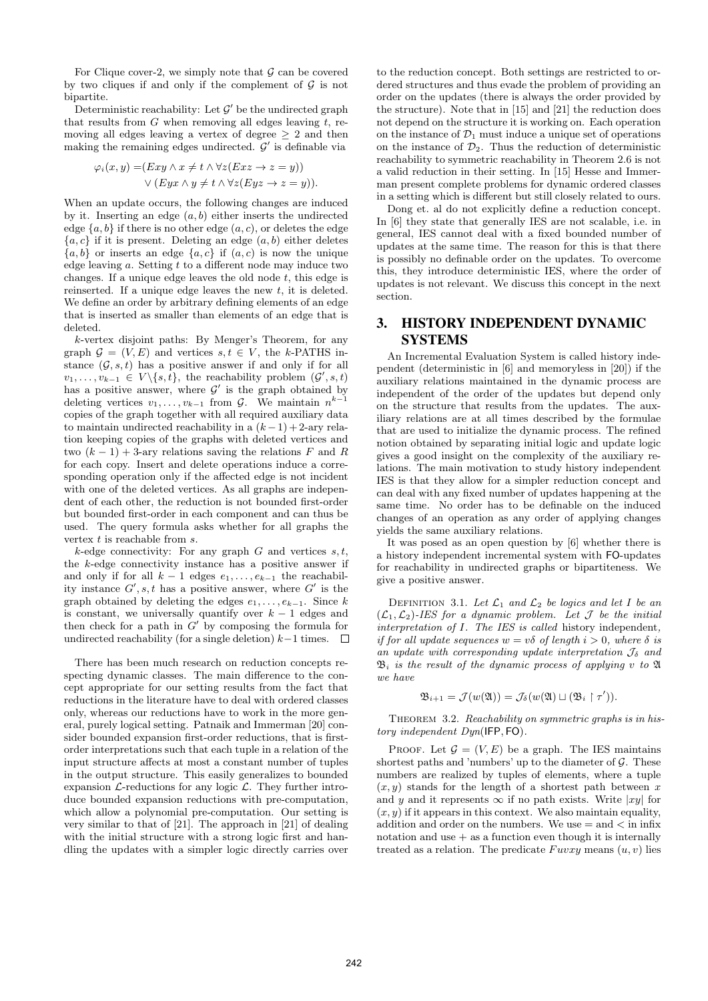For Clique cover-2, we simply note that  $\mathcal G$  can be covered by two cliques if and only if the complement of  $G$  is not bipartite.

Deterministic reachability: Let  $\mathcal{G}'$  be the undirected graph that results from  $G$  when removing all edges leaving  $t$ , removing all edges leaving a vertex of degree  $\geq 2$  and then making the remaining edges undirected.  $\mathcal{G}'$  is definable via

$$
\varphi_i(x, y) = (Exy \land x \neq t \land \forall z (Exz \to z = y))
$$
  
 
$$
\lor (Eyx \land y \neq t \land \forall z (Eyz \to z = y)).
$$

When an update occurs, the following changes are induced by it. Inserting an edge  $(a, b)$  either inserts the undirected edge  $\{a, b\}$  if there is no other edge  $(a, c)$ , or deletes the edge  ${a, c}$  if it is present. Deleting an edge  $(a, b)$  either deletes  ${a, b}$  or inserts an edge  ${a, c}$  if  $(a, c)$  is now the unique edge leaving  $a$ . Setting  $t$  to a different node may induce two changes. If a unique edge leaves the old node  $t$ , this edge is reinserted. If a unique edge leaves the new  $t$ , it is deleted. We define an order by arbitrary defining elements of an edge that is inserted as smaller than elements of an edge that is deleted.

k-vertex disjoint paths: By Menger's Theorem, for any graph  $\mathcal{G} = (V, E)$  and vertices  $s, t \in V$ , the k-PATHS instance  $(\mathcal{G}, s, t)$  has a positive answer if and only if for all  $v_1, \ldots, v_{k-1} \in V \backslash \{s, t\},\$  the reachability problem  $(\mathcal{G}', s, t)$ has a positive answer, where  $\mathcal{G}'$  is the graph obtained by deleting vertices  $v_1, \ldots, v_{k-1}$  from  $\mathcal{G}$ . We maintain  $n^{k-1}$ copies of the graph together with all required auxiliary data to maintain undirected reachability in a  $(k-1) + 2$ -ary relation keeping copies of the graphs with deleted vertices and two  $(k-1) + 3$ -ary relations saving the relations F and R for each copy. Insert and delete operations induce a corresponding operation only if the affected edge is not incident with one of the deleted vertices. As all graphs are independent of each other, the reduction is not bounded first-order but bounded first-order in each component and can thus be used. The query formula asks whether for all graphs the vertex  $t$  is reachable from  $s$ .

 $k$ -edge connectivity: For any graph  $G$  and vertices  $s, t$ , the  $k$ -edge connectivity instance has a positive answer if and only if for all  $k - 1$  edges  $e_1, \ldots, e_{k-1}$  the reachability instance  $G', s, t$  has a positive answer, where  $G'$  is the graph obtained by deleting the edges  $e_1, \ldots, e_{k-1}$ . Since k is constant, we universally quantify over  $k - 1$  edges and then check for a path in  $G'$  by composing the formula for undirected reachability (for a single deletion)  $k-1$  times.  $□$ 

There has been much research on reduction concepts respecting dynamic classes. The main difference to the concept appropriate for our setting results from the fact that reductions in the literature have to deal with ordered classes only, whereas our reductions have to work in the more general, purely logical setting. Patnaik and Immerman [20] consider bounded expansion first-order reductions, that is firstorder interpretations such that each tuple in a relation of the input structure affects at most a constant number of tuples in the output structure. This easily generalizes to bounded expansion  $\mathcal{L}\text{-reductions}$  for any logic  $\mathcal{L}\text{-}\text{-redy}$  further introduce bounded expansion reductions with pre-computation, which allow a polynomial pre-computation. Our setting is very similar to that of [21]. The approach in [21] of dealing with the initial structure with a strong logic first and handling the updates with a simpler logic directly carries over

to the reduction concept. Both settings are restricted to ordered structures and thus evade the problem of providing an order on the updates (there is always the order provided by the structure). Note that in [15] and [21] the reduction does not depend on the structure it is working on. Each operation on the instance of  $\mathcal{D}_1$  must induce a unique set of operations on the instance of  $\mathcal{D}_2$ . Thus the reduction of deterministic reachability to symmetric reachability in Theorem 2.6 is not a valid reduction in their setting. In [15] Hesse and Immerman present complete problems for dynamic ordered classes in a setting which is different but still closely related to ours.

Dong et. al do not explicitly define a reduction concept. In [6] they state that generally IES are not scalable, i.e. in general, IES cannot deal with a fixed bounded number of updates at the same time. The reason for this is that there is possibly no definable order on the updates. To overcome this, they introduce deterministic IES, where the order of updates is not relevant. We discuss this concept in the next section.

# 3. HISTORY INDEPENDENT DYNAMIC **SYSTEMS**

An Incremental Evaluation System is called history independent (deterministic in [6] and memoryless in [20]) if the auxiliary relations maintained in the dynamic process are independent of the order of the updates but depend only on the structure that results from the updates. The auxiliary relations are at all times described by the formulae that are used to initialize the dynamic process. The refined notion obtained by separating initial logic and update logic gives a good insight on the complexity of the auxiliary relations. The main motivation to study history independent IES is that they allow for a simpler reduction concept and can deal with any fixed number of updates happening at the same time. No order has to be definable on the induced changes of an operation as any order of applying changes yields the same auxiliary relations.

It was posed as an open question by [6] whether there is a history independent incremental system with FO-updates for reachability in undirected graphs or bipartiteness. We give a positive answer.

DEFINITION 3.1. Let  $\mathcal{L}_1$  and  $\mathcal{L}_2$  be logics and let I be an  $(\mathcal{L}_1, \mathcal{L}_2)$ -IES for a dynamic problem. Let  $\mathcal J$  be the initial interpretation of I. The IES is called history independent, if for all update sequences  $w = v\delta$  of length  $i > 0$ , where  $\delta$  is an update with corresponding update interpretation  $\mathcal{J}_{\delta}$  and  $\mathfrak{B}_i$  is the result of the dynamic process of applying v to  $\mathfrak A$ we have

$$
\mathfrak{B}_{i+1} = \mathcal{J}(w(\mathfrak{A})) = \mathcal{J}_{\delta}(w(\mathfrak{A}) \sqcup (\mathfrak{B}_{i} \upharpoonright \tau')).
$$

THEOREM 3.2. Reachability on symmetric graphs is in history independent Dyn(IFP, FO).

PROOF. Let  $\mathcal{G} = (V, E)$  be a graph. The IES maintains shortest paths and 'numbers' up to the diameter of  $\mathcal G$ . These numbers are realized by tuples of elements, where a tuple  $(x, y)$  stands for the length of a shortest path between x and y and it represents  $\infty$  if no path exists. Write |xy| for  $(x, y)$  if it appears in this context. We also maintain equality, addition and order on the numbers. We use  $=$  and  $\lt$  in infix notation and use  $+$  as a function even though it is internally treated as a relation. The predicate  $Fuvxy$  means  $(u, v)$  lies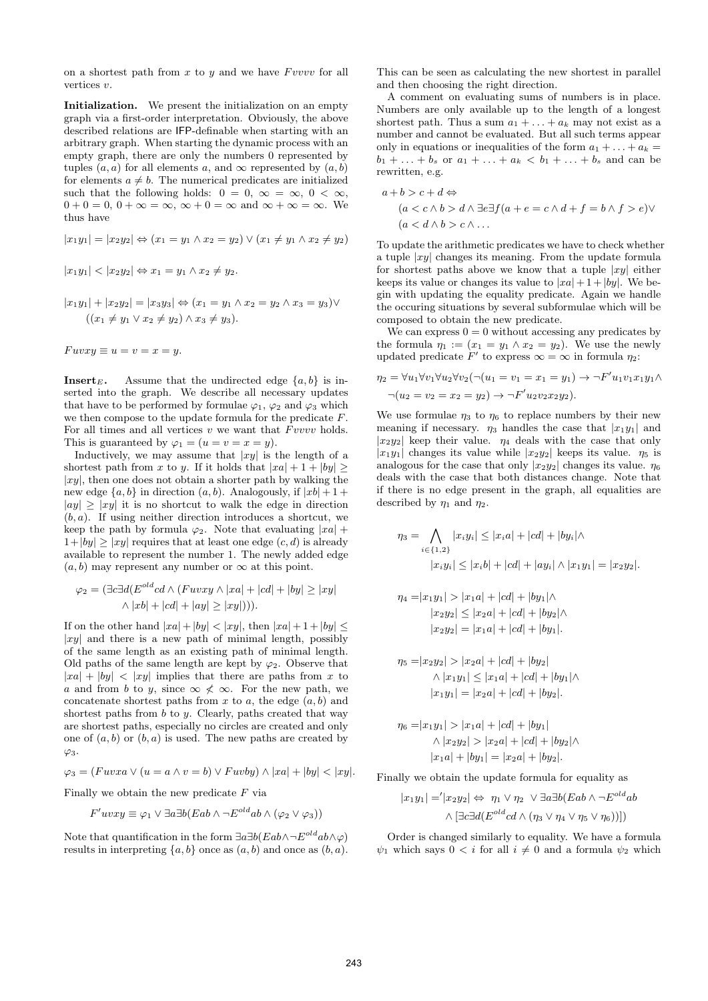on a shortest path from  $x$  to  $y$  and we have  $Fvvvv$  for all vertices v.

Initialization. We present the initialization on an empty graph via a first-order interpretation. Obviously, the above described relations are IFP-definable when starting with an arbitrary graph. When starting the dynamic process with an empty graph, there are only the numbers 0 represented by tuples  $(a, a)$  for all elements a, and  $\infty$  represented by  $(a, b)$ for elements  $a \neq b$ . The numerical predicates are initialized such that the following holds:  $0 = 0, \infty = \infty, 0 < \infty$ ,  $0 + 0 = 0$ ,  $0 + \infty = \infty$ ,  $\infty + 0 = \infty$  and  $\infty + \infty = \infty$ . We thus have

 $|x_1y_1| = |x_2y_2| \Leftrightarrow (x_1 = y_1 \wedge x_2 = y_2) \vee (x_1 \neq y_1 \wedge x_2 \neq y_2)$ 

$$
|x_1y_1| < |x_2y_2| \Leftrightarrow x_1 = y_1 \wedge x_2 \neq y_2.
$$

$$
|x_1y_1| + |x_2y_2| = |x_3y_3| \Leftrightarrow (x_1 = y_1 \land x_2 = y_2 \land x_3 = y_3) \lor
$$
  

$$
((x_1 \neq y_1 \lor x_2 \neq y_2) \land x_3 \neq y_3).
$$

 $Fuvxy \equiv u = v = x = y.$ 

**Insert**<sub>E</sub>. Assume that the undirected edge  $\{a, b\}$  is inserted into the graph. We describe all necessary updates that have to be performed by formulae  $\varphi_1$ ,  $\varphi_2$  and  $\varphi_3$  which we then compose to the update formula for the predicate F. For all times and all vertices  $v$  we want that  $F v v v v$  holds. This is guaranteed by  $\varphi_1 = (u = v = x = y)$ .

Inductively, we may assume that  $|xy|$  is the length of a shortest path from x to y. If it holds that  $|xa| + 1 + |bu|$  $|xy|$ , then one does not obtain a shorter path by walking the new edge  $\{a, b\}$  in direction  $(a, b)$ . Analogously, if  $|xb| + 1 +$  $|ay| \ge |xy|$  it is no shortcut to walk the edge in direction  $(b, a)$ . If using neither direction introduces a shortcut, we keep the path by formula  $\varphi_2$ . Note that evaluating  $|xa| +$  $1+|by| \ge |xy|$  requires that at least one edge  $(c, d)$  is already available to represent the number 1. The newly added edge  $(a, b)$  may represent any number or  $\infty$  at this point.

$$
\varphi_2 = (\exists c \exists d (E^{old}cd \land (Fuvxy \land |xa| + |cd| + |by| \ge |xy| \land |xb| + |cd| + |ay| \ge |xy|))).
$$

If on the other hand  $|xa|+|by| < |xy|$ , then  $|xa|+1+|by| \leq$  $|xy|$  and there is a new path of minimal length, possibly of the same length as an existing path of minimal length. Old paths of the same length are kept by  $\varphi_2$ . Observe that  $|xa| + |by| < |xy|$  implies that there are paths from x to a and from b to y, since  $\infty \times \infty$ . For the new path, we concatenate shortest paths from x to a, the edge  $(a, b)$  and shortest paths from  $b$  to  $y$ . Clearly, paths created that way are shortest paths, especially no circles are created and only one of  $(a, b)$  or  $(b, a)$  is used. The new paths are created by  $\varphi_3$ .

 $\varphi_3 = (Fuvxa \vee (u = a \wedge v = b) \vee Fuvby) \wedge |xa| + |by| < |xy|.$ 

Finally we obtain the new predicate  $F$  via

$$
F'uvxy \equiv \varphi_1 \lor \exists a \exists b (Eab \land \neg E^{old}ab \land (\varphi_2 \lor \varphi_3))
$$

Note that quantification in the form  $\exists a \exists b (Eab \land \neg E^{old}ab \land \varphi)$ results in interpreting  $\{a, b\}$  once as  $(a, b)$  and once as  $(b, a)$ . This can be seen as calculating the new shortest in parallel and then choosing the right direction.

A comment on evaluating sums of numbers is in place. Numbers are only available up to the length of a longest shortest path. Thus a sum  $a_1 + \ldots + a_k$  may not exist as a number and cannot be evaluated. But all such terms appear only in equations or inequalities of the form  $a_1 + \ldots + a_k =$  $b_1 + \ldots + b_s$  or  $a_1 + \ldots + a_k < b_1 + \ldots + b_s$  and can be rewritten, e.g.

$$
a+b>c+d \Leftrightarrow
$$
  
( $a < c \land b > d \land \exists e \exists f (a+e = c \land d+f = b \land f > e) \lor$   
( $a < d \land b > c \land \dots$ 

To update the arithmetic predicates we have to check whether a tuple  $|xy|$  changes its meaning. From the update formula for shortest paths above we know that a tuple  $|xy|$  either keeps its value or changes its value to  $|xa|+1+|by|$ . We begin with updating the equality predicate. Again we handle the occuring situations by several subformulae which will be composed to obtain the new predicate.

We can express  $0 = 0$  without accessing any predicates by the formula  $\eta_1 := (x_1 = y_1 \wedge x_2 = y_2)$ . We use the newly updated predicate  $F'$  to express  $\infty = \infty$  in formula  $\eta_2$ :

$$
\eta_2 = \forall u_1 \forall v_1 \forall u_2 \forall v_2 (\neg (u_1 = v_1 = x_1 = y_1) \rightarrow \neg F' u_1 v_1 x_1 y_1 \land \neg (u_2 = v_2 = x_2 = y_2) \rightarrow \neg F' u_2 v_2 x_2 y_2).
$$

We use formulae  $\eta_3$  to  $\eta_6$  to replace numbers by their new meaning if necessary.  $\eta_3$  handles the case that  $|x_1y_1|$  and  $|x_2y_2|$  keep their value.  $\eta_4$  deals with the case that only  $|x_1y_1|$  changes its value while  $|x_2y_2|$  keeps its value.  $\eta_5$  is analogous for the case that only  $|x_2y_2|$  changes its value.  $\eta_6$ deals with the case that both distances change. Note that if there is no edge present in the graph, all equalities are described by  $\eta_1$  and  $\eta_2$ .

$$
\eta_3 = \bigwedge_{i \in \{1,2\}} |x_i y_i| \le |x_i a| + |cd| + |by_i| \wedge
$$
  

$$
|x_i y_i| \le |x_i b| + |cd| + |ay_i| \wedge |x_1 y_1| = |x_2 y_2|.
$$

$$
\eta_4 = |x_1y_1| > |x_1a| + |cd| + |by_1|\wedge
$$
  
\n
$$
|x_2y_2| \le |x_2a| + |cd| + |by_2|\wedge
$$
  
\n
$$
|x_2y_2| = |x_1a| + |cd| + |by_1|.
$$

 $\eta_5 = |x_2y_2| > |x_2a| + |cd| + |by_2|$  $∧ |x_1y_1| ≤ |x_1a| + |cd| + |by_1|∧$  $|x_1y_1| = |x_2a| + |cd| + |by_2|.$ 

$$
\eta_6 = |x_1y_1| > |x_1a| + |cd| + |by_1|
$$
  
 
$$
\land |x_2y_2| > |x_2a| + |cd| + |by_2|\land
$$
  
 
$$
|x_1a| + |by_1| = |x_2a| + |by_2|.
$$

Finally we obtain the update formula for equality as

$$
|x_1y_1| = |x_2y_2| \Leftrightarrow \eta_1 \vee \eta_2 \vee \exists a \exists b (Eab \wedge \neg E^{old}ab
$$

$$
\wedge [\exists c \exists d(E^{old}cd \wedge (\eta_3 \vee \eta_4 \vee \eta_5 \vee \eta_6))])
$$

Order is changed similarly to equality. We have a formula  $\psi_1$  which says  $0 < i$  for all  $i \neq 0$  and a formula  $\psi_2$  which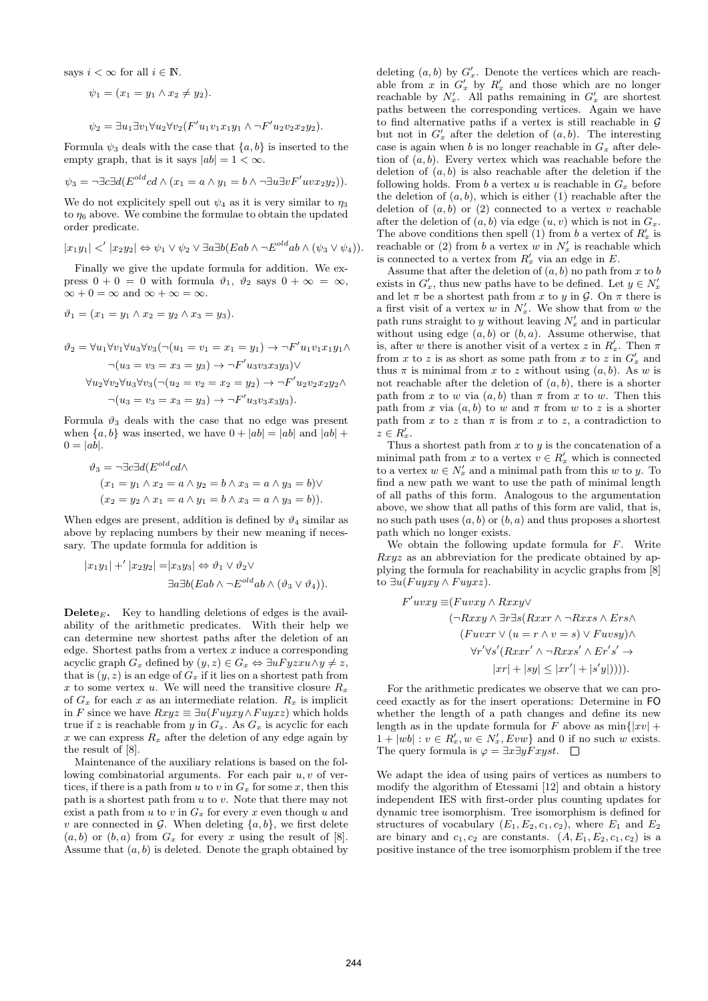says  $i < \infty$  for all  $i \in \mathbb{N}$ .

$$
\psi_1 = (x_1 = y_1 \land x_2 \neq y_2).
$$

$$
\psi_2 = \exists u_1 \exists v_1 \forall u_2 \forall v_2 (F' u_1 v_1 x_1 y_1 \wedge \neg F' u_2 v_2 x_2 y_2).
$$

Formula  $\psi_3$  deals with the case that  $\{a, b\}$  is inserted to the empty graph, that is it says  $|ab| = 1 < \infty$ .

$$
\psi_3 = \neg \exists c \exists d (E^{old} cd \land (x_1 = a \land y_1 = b \land \neg \exists u \exists v F' uv x_2 y_2)).
$$

We do not explicitely spell out  $\psi_4$  as it is very similar to  $\eta_3$ to  $\eta_6$  above. We combine the formulae to obtain the updated order predicate.

$$
|x_1y_1| <' |x_2y_2| \Leftrightarrow \psi_1 \vee \psi_2 \vee \exists a \exists b (Eab \wedge \neg E^{old}ab \wedge (\psi_3 \vee \psi_4)).
$$

Finally we give the update formula for addition. We express  $0 + 0 = 0$  with formula  $\vartheta_1$ ,  $\vartheta_2$  says  $0 + \infty = \infty$ ,  $\infty + 0 = \infty$  and  $\infty + \infty = \infty$ .

$$
\vartheta_1 = (x_1 = y_1 \land x_2 = y_2 \land x_3 = y_3).
$$

$$
\vartheta_2 = \forall u_1 \forall v_1 \forall u_3 \forall v_3 (\neg (u_1 = v_1 = x_1 = y_1) \rightarrow \neg F' u_1 v_1 x_1 y_1 \land
$$
  

$$
\neg (u_3 = v_3 = x_3 = y_3) \rightarrow \neg F' u_3 v_3 x_3 y_3) \lor
$$
  

$$
\forall u_2 \forall v_2 \forall u_3 \forall v_3 (\neg (u_2 = v_2 = x_2 = y_2) \rightarrow \neg F' u_2 v_2 x_2 y_2 \land
$$
  

$$
\neg (u_3 = v_3 = x_3 = y_3) \rightarrow \neg F' u_3 v_3 x_3 y_3).
$$

Formula  $\vartheta_3$  deals with the case that no edge was present when  $\{a, b\}$  was inserted, we have  $0 + |ab| = |ab|$  and  $|ab| +$  $0 = |ab|$ .

$$
\vartheta_3 = \neg \exists c \exists d (E^{old} c d \land
$$
  
\n
$$
(x_1 = y_1 \land x_2 = a \land y_2 = b \land x_3 = a \land y_3 = b) \lor
$$
  
\n
$$
(x_2 = y_2 \land x_1 = a \land y_1 = b \land x_3 = a \land y_3 = b)).
$$

When edges are present, addition is defined by  $\vartheta_4$  similar as above by replacing numbers by their new meaning if necessary. The update formula for addition is

$$
|x_1y_1| +' |x_2y_2| = |x_3y_3| \Leftrightarrow \vartheta_1 \vee \vartheta_2 \vee
$$
  

$$
\exists a \exists b (Eab \wedge \neg E^{old}ab \wedge (\vartheta_3 \vee \vartheta_4)).
$$

**Delete**<sub>E</sub>. Key to handling deletions of edges is the availability of the arithmetic predicates. With their help we can determine new shortest paths after the deletion of an edge. Shortest paths from a vertex  $x$  induce a corresponding acyclic graph  $G_x$  defined by  $(y, z) \in G_x \Leftrightarrow \exists u F y z x u \land y \neq z$ , that is  $(y, z)$  is an edge of  $G_x$  if it lies on a shortest path from x to some vertex u. We will need the transitive closure  $R_x$ of  $G_x$  for each x as an intermediate relation.  $R_x$  is implicit in F since we have  $Rxyz \equiv \exists u(Fuyxy \wedge Fuyxz)$  which holds true if z is reachable from y in  $G_x$ . As  $G_x$  is acyclic for each x we can express  $R_x$  after the deletion of any edge again by the result of [8].

Maintenance of the auxiliary relations is based on the following combinatorial arguments. For each pair  $u, v$  of vertices, if there is a path from u to v in  $G_x$  for some x, then this path is a shortest path from  $u$  to  $v$ . Note that there may not exist a path from  $u$  to  $v$  in  $G_x$  for every  $x$  even though  $u$  and v are connected in  $G$ . When deleting  $\{a, b\}$ , we first delete  $(a, b)$  or  $(b, a)$  from  $G_x$  for every x using the result of [8]. Assume that  $(a, b)$  is deleted. Denote the graph obtained by

deleting  $(a, b)$  by  $G'_x$ . Denote the vertices which are reachable from x in  $G'_x$  by  $R'_x$  and those which are no longer reachable by  $N'_x$ . All paths remaining in  $G'_x$  are shortest paths between the corresponding vertices. Again we have to find alternative paths if a vertex is still reachable in  $G$ but not in  $G'_x$  after the deletion of  $(a, b)$ . The interesting case is again when b is no longer reachable in  $G_x$  after deletion of  $(a, b)$ . Every vertex which was reachable before the deletion of  $(a, b)$  is also reachable after the deletion if the following holds. From b a vertex u is reachable in  $G_x$  before the deletion of  $(a, b)$ , which is either (1) reachable after the deletion of  $(a, b)$  or  $(2)$  connected to a vertex v reachable after the deletion of  $(a, b)$  via edge  $(u, v)$  which is not in  $G_x$ . The above conditions then spell (1) from b a vertex of  $R'_x$  is reachable or (2) from b a vertex w in  $N'_x$  is reachable which is connected to a vertex from  $R'_x$  via an edge in E.

Assume that after the deletion of  $(a, b)$  no path from x to b exists in  $G'_x$ , thus new paths have to be defined. Let  $y \in N'_x$ and let  $\pi$  be a shortest path from x to y in  $\mathcal{G}$ . On  $\pi$  there is a first visit of a vertex  $w$  in  $N'_x$ . We show that from  $w$  the path runs straight to y without leaving  $N'_x$  and in particular without using edge  $(a, b)$  or  $(b, a)$ . Assume otherwise, that is, after w there is another visit of a vertex z in  $R'_x$ . Then  $\pi$ from x to z is as short as some path from x to z in  $G'_x$  and thus  $\pi$  is minimal from  $x$  to  $z$  without using  $(a, b)$ . As  $w$  is not reachable after the deletion of  $(a, b)$ , there is a shorter path from x to w via  $(a, b)$  than  $\pi$  from x to w. Then this path from x via  $(a, b)$  to w and  $\pi$  from w to z is a shorter path from x to z than  $\pi$  is from x to z, a contradiction to  $z \in R'_x.$ 

Thus a shortest path from  $x$  to  $y$  is the concatenation of a minimal path from x to a vertex  $v \in R'_x$  which is connected to a vertex  $w \in N'_x$  and a minimal path from this w to y. To find a new path we want to use the path of minimal length of all paths of this form. Analogous to the argumentation above, we show that all paths of this form are valid, that is, no such path uses  $(a, b)$  or  $(b, a)$  and thus proposes a shortest path which no longer exists.

We obtain the following update formula for  $F$ . Write Rxyz as an abbreviation for the predicate obtained by applying the formula for reachability in acyclic graphs from [8] to  $\exists u$ (*Fuyxy* ∧ *Fuyxz*).

$$
F'uvxy \equiv (Fuvxy \land Rxxy \lor
$$
  
\n
$$
(\neg Rxxy \land \exists r \exists s (Rxxr \land \neg Rxxs \land Ers \land
$$
  
\n
$$
(Fuvxr \lor (u = r \land v = s) \lor Fuvsy) \land
$$
  
\n
$$
\forall r' \forall s' (Rxxr' \land \neg Rxxs' \land Er's' \rightarrow
$$
  
\n
$$
|xr| + |sy| \le |xr'| + |s'y|))))
$$

For the arithmetic predicates we observe that we can proceed exactly as for the insert operations: Determine in FO whether the length of a path changes and define its new length as in the update formula for F above as  $\min\{|xv| +$  $1 + |wb| : v \in R'_x, w \in N'_x, Evw$  and 0 if no such w exists. The query formula is  $\varphi = \exists x \exists y F x y st.$ 

We adapt the idea of using pairs of vertices as numbers to modify the algorithm of Etessami [12] and obtain a history independent IES with first-order plus counting updates for dynamic tree isomorphism. Tree isomorphism is defined for structures of vocabulary  $(E_1, E_2, c_1, c_2)$ , where  $E_1$  and  $E_2$ are binary and  $c_1, c_2$  are constants.  $(A, E_1, E_2, c_1, c_2)$  is a positive instance of the tree isomorphism problem if the tree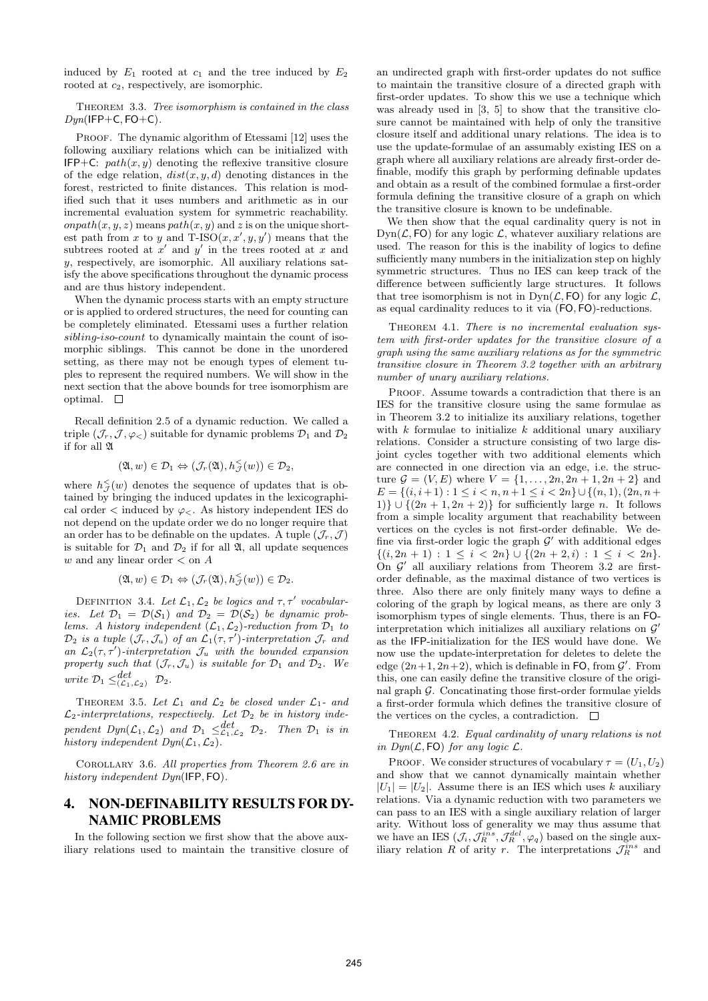induced by  $E_1$  rooted at  $c_1$  and the tree induced by  $E_2$ rooted at  $c_2$ , respectively, are isomorphic.

THEOREM 3.3. Tree isomorphism is contained in the class  $Dyn(\text{IFP}+\text{C}, \text{FO}+\text{C}).$ 

PROOF. The dynamic algorithm of Etessami [12] uses the following auxiliary relations which can be initialized with IFP+C:  $path(x, y)$  denoting the reflexive transitive closure of the edge relation,  $dist(x, y, d)$  denoting distances in the forest, restricted to finite distances. This relation is modified such that it uses numbers and arithmetic as in our incremental evaluation system for symmetric reachability. onpath $(x, y, z)$  means path $(x, y)$  and z is on the unique shortest path from x to y and T-ISO $(x, x', y, y')$  means that the subtrees rooted at  $x'$  and  $y'$  in the trees rooted at x and y, respectively, are isomorphic. All auxiliary relations satisfy the above specifications throughout the dynamic process and are thus history independent.

When the dynamic process starts with an empty structure or is applied to ordered structures, the need for counting can be completely eliminated. Etessami uses a further relation sibling-iso-count to dynamically maintain the count of isomorphic siblings. This cannot be done in the unordered setting, as there may not be enough types of element tuples to represent the required numbers. We will show in the next section that the above bounds for tree isomorphism are optimal.  $\square$ 

Recall definition 2.5 of a dynamic reduction. We called a triple  $(\mathcal{J}_r, \mathcal{J}, \varphi_{\leq})$  suitable for dynamic problems  $\mathcal{D}_1$  and  $\mathcal{D}_2$ if for all A

$$
(\mathfrak{A},w)\in \mathcal{D}_1 \Leftrightarrow (\mathcal{J}_r(\mathfrak{A}),h^{\leq}_{\mathcal{J}}(w))\in \mathcal{D}_2,
$$

where  $h_{\mathcal{J}}^{\leq}(w)$  denotes the sequence of updates that is obtained by bringing the induced updates in the lexicographical order  $\lt$  induced by  $\varphi_{\lt}$ . As history independent IES do not depend on the update order we do no longer require that an order has to be definable on the updates. A tuple  $(\mathcal{J}_r,\mathcal{J})$ is suitable for  $\mathcal{D}_1$  and  $\mathcal{D}_2$  if for all  $\mathfrak{A}$ , all update sequences w and any linear order  $\lt$  on A

$$
(\mathfrak{A}, w) \in \mathcal{D}_1 \Leftrightarrow (\mathcal{J}_r(\mathfrak{A}), h_{\mathcal{J}}^{\leq}(w)) \in \mathcal{D}_2.
$$

DEFINITION 3.4. Let  $\mathcal{L}_1, \mathcal{L}_2$  be logics and  $\tau, \tau'$  vocabularies. Let  $\mathcal{D}_1 = \mathcal{D}(\mathcal{S}_1)$  and  $\mathcal{D}_2 = \mathcal{D}(\mathcal{S}_2)$  be dynamic problems. A history independent  $(\mathcal{L}_1, \mathcal{L}_2)$ -reduction from  $\mathcal{D}_1$  to  $\mathcal{D}_2$  is a tuple  $(\mathcal{J}_r, \mathcal{J}_u)$  of an  $\mathcal{L}_1(\tau, \tau')$ -interpretation  $\mathcal{J}_r$  and an  $\mathcal{L}_2(\tau, \tau')$ -interpretation  $\mathcal{J}_u$  with the bounded expansion property such that  $(\mathcal{J}_r,\mathcal{J}_u)$  is suitable for  $\mathcal{D}_1$  and  $\mathcal{D}_2$ . We write  $\mathcal{D}_1 \leq_{(\mathcal{L}_1,\mathcal{L}_2)}^{det} \mathcal{D}_2$ .

THEOREM 3.5. Let  $\mathcal{L}_1$  and  $\mathcal{L}_2$  be closed under  $\mathcal{L}_1$ - and  $\mathcal{L}_2$ -interpretations, respectively. Let  $\mathcal{D}_2$  be in history independent  $Dyn(\mathcal{L}_1, \mathcal{L}_2)$  and  $\mathcal{D}_1 \leq_{\mathcal{L}_1, \mathcal{L}_2}^{det} \mathcal{D}_2$ . Then  $\mathcal{D}_1$  is in history independent  $Dyn(\mathcal{L}_1, \mathcal{L}_2)$ .

Corollary 3.6. All properties from Theorem 2.6 are in history independent Dyn(IFP, FO).

# 4. NON-DEFINABILITY RESULTS FOR DY-NAMIC PROBLEMS

In the following section we first show that the above auxiliary relations used to maintain the transitive closure of

an undirected graph with first-order updates do not suffice to maintain the transitive closure of a directed graph with first-order updates. To show this we use a technique which was already used in [3, 5] to show that the transitive closure cannot be maintained with help of only the transitive closure itself and additional unary relations. The idea is to use the update-formulae of an assumably existing IES on a graph where all auxiliary relations are already first-order definable, modify this graph by performing definable updates and obtain as a result of the combined formulae a first-order formula defining the transitive closure of a graph on which the transitive closure is known to be undefinable.

We then show that the equal cardinality query is not in  $\text{Dyn}(\mathcal{L}, \text{FO})$  for any logic  $\mathcal{L}$ , whatever auxiliary relations are used. The reason for this is the inability of logics to define sufficiently many numbers in the initialization step on highly symmetric structures. Thus no IES can keep track of the difference between sufficiently large structures. It follows that tree isomorphism is not in  $\text{Dyn}(\mathcal{L}, \text{FO})$  for any logic  $\mathcal{L}$ , as equal cardinality reduces to it via (FO, FO)-reductions.

THEOREM 4.1. There is no incremental evaluation system with first-order updates for the transitive closure of a graph using the same auxiliary relations as for the symmetric transitive closure in Theorem 3.2 together with an arbitrary number of unary auxiliary relations.

PROOF. Assume towards a contradiction that there is an IES for the transitive closure using the same formulae as in Theorem 3.2 to initialize its auxiliary relations, together with  $k$  formulae to initialize  $k$  additional unary auxiliary relations. Consider a structure consisting of two large disjoint cycles together with two additional elements which are connected in one direction via an edge, i.e. the structure  $\mathcal{G} = (V, E)$  where  $V = \{1, ..., 2n, 2n + 1, 2n + 2\}$  and  $E = \{(i, i+1) : 1 \leq i < n, n+1 \leq i < 2n\} \cup \{(n, 1), (2n, n+1)\}$ 1)} ∪  $\{(2n+1, 2n+2)\}\)$  for sufficiently large n. It follows from a simple locality argument that reachability between vertices on the cycles is not first-order definable. We define via first-order logic the graph  $\mathcal{G}'$  with additional edges  $\{(i, 2n+1) : 1 \leq i < 2n\} \cup \{(2n+2, i) : 1 \leq i < 2n\}.$ On  $\mathcal{G}'$  all auxiliary relations from Theorem 3.2 are firstorder definable, as the maximal distance of two vertices is three. Also there are only finitely many ways to define a coloring of the graph by logical means, as there are only 3 isomorphism types of single elements. Thus, there is an FOinterpretation which initializes all auxiliary relations on  $\mathcal{G}'$ as the IFP-initialization for the IES would have done. We now use the update-interpretation for deletes to delete the edge  $(2n+1, 2n+2)$ , which is definable in FO, from  $\mathcal{G}'$ . From this, one can easily define the transitive closure of the original graph  $\mathcal{G}$ . Concatinating those first-order formulae yields a first-order formula which defines the transitive closure of the vertices on the cycles, a contradiction.  $\Box$ 

THEOREM 4.2. Equal cardinality of unary relations is not in  $Dyn(\mathcal{L}, \mathsf{FO})$  for any logic  $\mathcal{L}.$ 

PROOF. We consider structures of vocabulary  $\tau = (U_1, U_2)$ and show that we cannot dynamically maintain whether  $|U_1| = |U_2|$ . Assume there is an IES which uses k auxiliary relations. Via a dynamic reduction with two parameters we can pass to an IES with a single auxiliary relation of larger arity. Without loss of generality we may thus assume that we have an IES  $(\mathcal{J}_i, \mathcal{J}_R^{ins}, \mathcal{J}_R^{del}, \varphi_q)$  based on the single auxiliary relation R of arity r. The interpretations  $\mathcal{J}_R^{ins}$  and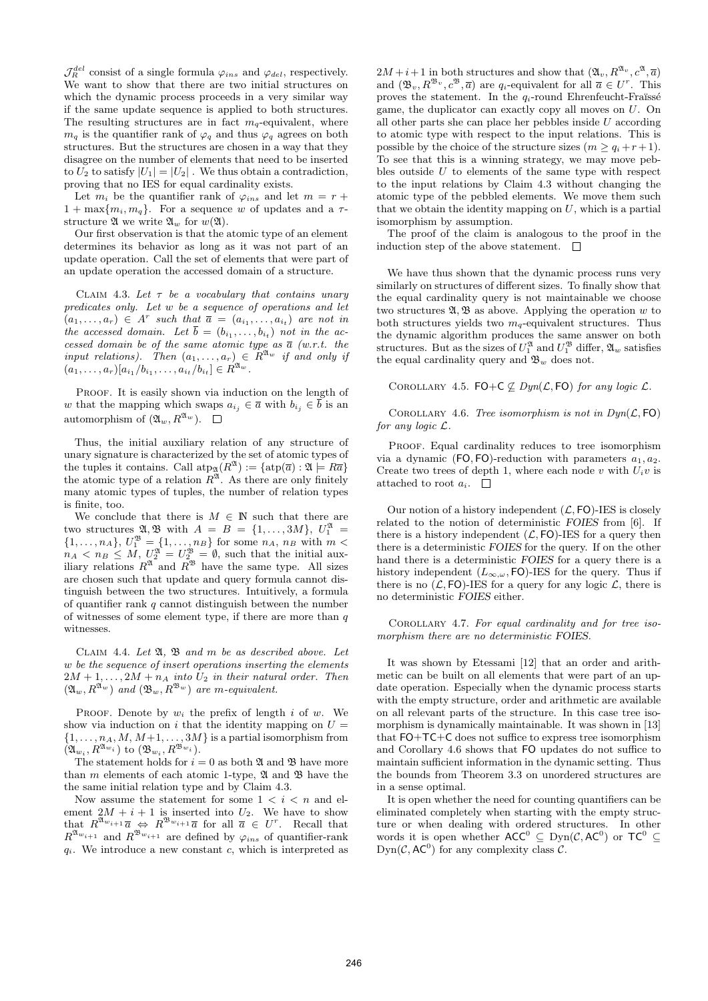$\mathcal{J}_R^{del}$  consist of a single formula  $\varphi_{ins}$  and  $\varphi_{del}$ , respectively. We want to show that there are two initial structures on which the dynamic process proceeds in a very similar way if the same update sequence is applied to both structures. The resulting structures are in fact  $m_q$ -equivalent, where  $m_q$  is the quantifier rank of  $\varphi_q$  and thus  $\varphi_q$  agrees on both structures. But the structures are chosen in a way that they disagree on the number of elements that need to be inserted to  $U_2$  to satisfy  $|U_1| = |U_2|$ . We thus obtain a contradiction, proving that no IES for equal cardinality exists.

Let  $m_i$  be the quantifier rank of  $\varphi_{ins}$  and let  $m = r +$  $1 + \max\{m_i, m_q\}.$  For a sequence w of updates and a  $\tau$ structure  $\mathfrak{A}$  we write  $\mathfrak{A}_w$  for  $w(\mathfrak{A})$ .

Our first observation is that the atomic type of an element determines its behavior as long as it was not part of an update operation. Call the set of elements that were part of an update operation the accessed domain of a structure.

CLAIM 4.3. Let  $\tau$  be a vocabulary that contains unary predicates only. Let w be a sequence of operations and let  $(a_1, \ldots, a_r) \in A^r$  such that  $\overline{a} = (a_{i_1}, \ldots, a_{i_t})$  are not in the accessed domain. Let  $b = (b_{i_1}, \ldots, b_{i_t})$  not in the accessed domain be of the same atomic type as  $\overline{a}$  (w.r.t. the input relations). Then  $(a_1, \ldots, a_r) \in R^{\mathfrak{A}_w}$  if and only if  $(a_1, \ldots, a_r)[a_{i_1}/b_{i_1}, \ldots, a_{i_t}/b_{i_t}] \in R^{\mathfrak{A}_w}.$ 

PROOF. It is easily shown via induction on the length of w that the mapping which swaps  $a_{i_j} \in \overline{a}$  with  $b_{i_j} \in \overline{b}$  is an automorphism of  $(\mathfrak{A}_w, R^{\mathfrak{A}_w})$ .

Thus, the initial auxiliary relation of any structure of unary signature is characterized by the set of atomic types of the tuples it contains. Call  $\text{atp}_{\mathfrak{A}}(R^{\mathfrak{A}}) := \{ \text{atp}(\overline{a}) : \mathfrak{A} \models R\overline{a} \}$ the atomic type of a relation  $R^{\mathfrak{A}}$ . As there are only finitely many atomic types of tuples, the number of relation types is finite, too.

We conclude that there is  $M \in \mathbb{N}$  such that there are two structures  $\mathfrak{A}, \mathfrak{B}$  with  $A = B = \{1, \ldots, 3M\}, U_1^{\mathfrak{A}} =$  $\{1, \ldots, n_A\}, U_1^{\mathfrak{B}} = \{1, \ldots, n_B\}$  for some  $n_A$ ,  $n_B$  with  $m <$  $n_A < n_B \leq M, U_2^{\mathfrak{A}} = U_2^{\mathfrak{B}} = \emptyset$ , such that the initial auxiliary relations  $R^{\mathfrak{A}}$  and  $R^{\mathfrak{B}}$  have the same type. All sizes are chosen such that update and query formula cannot distinguish between the two structures. Intuitively, a formula of quantifier rank  $q$  cannot distinguish between the number of witnesses of some element type, if there are more than  $q$ witnesses.

Claim 4.4. Let A, B and m be as described above. Let w be the sequence of insert operations inserting the elements  $2M + 1, \ldots, 2M + n_A$  into  $U_2$  in their natural order. Then  $(\mathfrak{A}_w, R^{\mathfrak{A}_w})$  and  $(\mathfrak{B}_w, R^{\mathfrak{B}_w})$  are m-equivalent.

PROOF. Denote by  $w_i$  the prefix of length i of w. We show via induction on i that the identity mapping on  $U =$  $\{1, \ldots, n_A, M, M+1, \ldots, 3M\}$  is a partial isomorphism from  $(\mathfrak{A}_{w_i}, R^{\mathfrak{A}_{w_i}})$  to  $(\mathfrak{B}_{w_i}, R^{\mathfrak{B}_{w_i}})$ .

The statement holds for  $i = 0$  as both  $\mathfrak A$  and  $\mathfrak B$  have more than  $m$  elements of each atomic 1-type,  $\mathfrak A$  and  $\mathfrak B$  have the the same initial relation type and by Claim 4.3.

Now assume the statement for some  $1 < i < n$  and element  $2M + i + 1$  is inserted into  $U_2$ . We have to show that  $R^{\mathfrak{A}_{w_{i+1}}}\overline{a} \Leftrightarrow R^{\mathfrak{B}_{w_{i+1}}}\overline{a}$  for all  $\overline{a} \in U^r$ . Recall that  $R^{\mathfrak{A}_{w_{i+1}}}$  and  $R^{\mathfrak{B}_{w_{i+1}}}$  are defined by  $\varphi_{ins}$  of quantifier-rank  $q_i$ . We introduce a new constant c, which is interpreted as

 $2M+i+1$  in both structures and show that  $(\mathfrak{A}_v, R^{\mathfrak{A}_v}, c^{\mathfrak{A}}, \overline{a})$ and  $(\mathfrak{B}_v, R^{\mathfrak{B}_v}, c^{\mathfrak{B}}, \overline{a})$  are  $q_i$ -equivalent for all  $\overline{a} \in U^r$ . This proves the statement. In the  $q_i$ -round Ehrenfeucht-Fraüssé game, the duplicator can exactly copy all moves on U. On all other parts she can place her pebbles inside  $U$  according to atomic type with respect to the input relations. This is possible by the choice of the structure sizes  $(m > q_i + r + 1)$ . To see that this is a winning strategy, we may move pebbles outside  $U$  to elements of the same type with respect to the input relations by Claim 4.3 without changing the atomic type of the pebbled elements. We move them such that we obtain the identity mapping on  $U$ , which is a partial isomorphism by assumption.

The proof of the claim is analogous to the proof in the induction step of the above statement.  $\Box$ 

We have thus shown that the dynamic process runs very similarly on structures of different sizes. To finally show that the equal cardinality query is not maintainable we choose two structures  $\mathfrak{A}, \mathfrak{B}$  as above. Applying the operation w to both structures yields two  $m_q$ -equivalent structures. Thus the dynamic algorithm produces the same answer on both structures. But as the sizes of  $U_1^{\mathfrak{A}}$  and  $U_1^{\mathfrak{B}}$  differ,  $\mathfrak{A}_w$  satisfies the equal cardinality query and  $\mathfrak{B}_w$  does not.

COROLLARY 4.5.  $FO+C \nsubseteq Dyn(\mathcal{L}, FO)$  for any logic  $\mathcal{L}$ .

COROLLARY 4.6. Tree isomorphism is not in  $Dyn(\mathcal{L}, \mathsf{FO})$ for any logic L.

PROOF. Equal cardinality reduces to tree isomorphism via a dynamic (FO, FO)-reduction with parameters  $a_1, a_2$ . Create two trees of depth 1, where each node v with  $U_i v$  is attached to root  $a_i$ .  $\Box$ 

Our notion of a history independent  $(\mathcal{L}, \mathsf{FO})$ -IES is closely related to the notion of deterministic FOIES from [6]. If there is a history independent  $(\mathcal{L}, \mathsf{FO})$ -IES for a query then there is a deterministic FOIES for the query. If on the other hand there is a deterministic FOIES for a query there is a history independent  $(L_{\infty,\omega}, \text{FO})$ -IES for the query. Thus if there is no  $(\mathcal{L}, \mathsf{FO})$ -IES for a query for any logic  $\mathcal{L}$ , there is no deterministic FOIES either.

COROLLARY 4.7. For equal cardinality and for tree isomorphism there are no deterministic FOIES.

It was shown by Etessami [12] that an order and arithmetic can be built on all elements that were part of an update operation. Especially when the dynamic process starts with the empty structure, order and arithmetic are available on all relevant parts of the structure. In this case tree isomorphism is dynamically maintainable. It was shown in [13] that FO+TC+C does not suffice to express tree isomorphism and Corollary 4.6 shows that FO updates do not suffice to maintain sufficient information in the dynamic setting. Thus the bounds from Theorem 3.3 on unordered structures are in a sense optimal.

It is open whether the need for counting quantifiers can be eliminated completely when starting with the empty structure or when dealing with ordered structures. In other words it is open whether  $ACC^0 \subseteq Dyn(\mathcal{C}, AC^0)$  or  $TC^0 \subseteq$  $\text{Dyn}(\mathcal{C}, \mathsf{AC}^0)$  for any complexity class  $\mathcal{C}$ .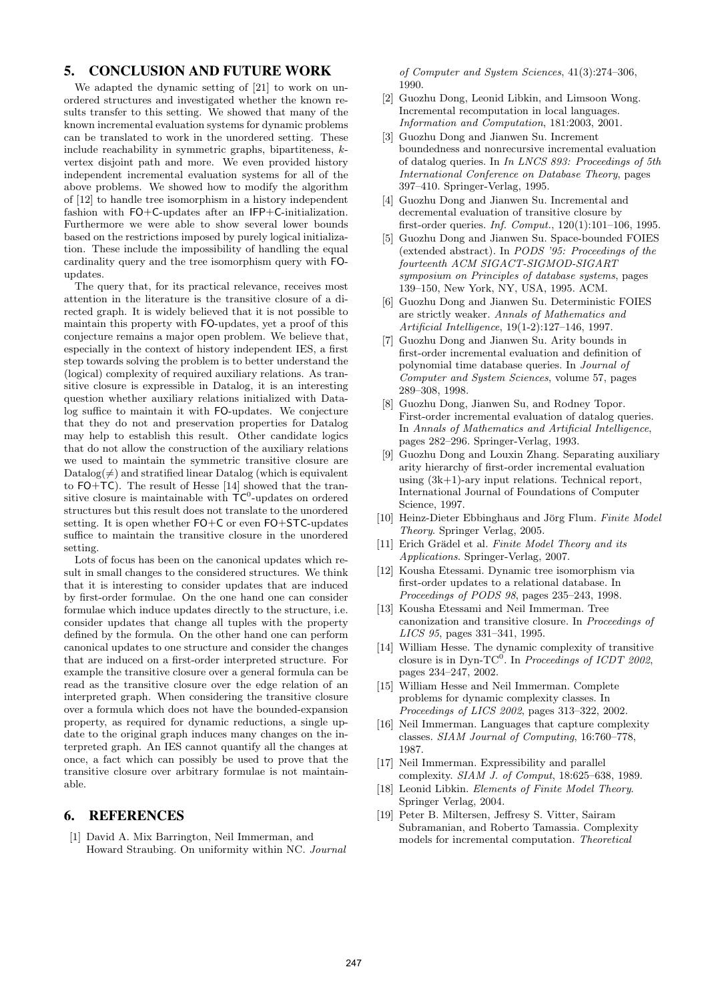# 5. CONCLUSION AND FUTURE WORK

We adapted the dynamic setting of [21] to work on unordered structures and investigated whether the known results transfer to this setting. We showed that many of the known incremental evaluation systems for dynamic problems can be translated to work in the unordered setting. These include reachability in symmetric graphs, bipartiteness, kvertex disjoint path and more. We even provided history independent incremental evaluation systems for all of the above problems. We showed how to modify the algorithm of [12] to handle tree isomorphism in a history independent fashion with FO+C-updates after an IFP+C-initialization. Furthermore we were able to show several lower bounds based on the restrictions imposed by purely logical initialization. These include the impossibility of handling the equal cardinality query and the tree isomorphism query with FOupdates.

The query that, for its practical relevance, receives most attention in the literature is the transitive closure of a directed graph. It is widely believed that it is not possible to maintain this property with FO-updates, yet a proof of this conjecture remains a major open problem. We believe that, especially in the context of history independent IES, a first step towards solving the problem is to better understand the (logical) complexity of required auxiliary relations. As transitive closure is expressible in Datalog, it is an interesting question whether auxiliary relations initialized with Datalog suffice to maintain it with FO-updates. We conjecture that they do not and preservation properties for Datalog may help to establish this result. Other candidate logics that do not allow the construction of the auxiliary relations we used to maintain the symmetric transitive closure are  $\text{Database}(\neq)$  and stratified linear Datalog (which is equivalent to FO+TC). The result of Hesse [14] showed that the transitive closure is maintainable with  $TC^0$ -updates on ordered structures but this result does not translate to the unordered setting. It is open whether FO+C or even FO+STC-updates suffice to maintain the transitive closure in the unordered setting.

Lots of focus has been on the canonical updates which result in small changes to the considered structures. We think that it is interesting to consider updates that are induced by first-order formulae. On the one hand one can consider formulae which induce updates directly to the structure, i.e. consider updates that change all tuples with the property defined by the formula. On the other hand one can perform canonical updates to one structure and consider the changes that are induced on a first-order interpreted structure. For example the transitive closure over a general formula can be read as the transitive closure over the edge relation of an interpreted graph. When considering the transitive closure over a formula which does not have the bounded-expansion property, as required for dynamic reductions, a single update to the original graph induces many changes on the interpreted graph. An IES cannot quantify all the changes at once, a fact which can possibly be used to prove that the transitive closure over arbitrary formulae is not maintainable.

# 6. REFERENCES

[1] David A. Mix Barrington, Neil Immerman, and Howard Straubing. On uniformity within NC. Journal

of Computer and System Sciences, 41(3):274–306, 1990.

- [2] Guozhu Dong, Leonid Libkin, and Limsoon Wong. Incremental recomputation in local languages. Information and Computation, 181:2003, 2001.
- [3] Guozhu Dong and Jianwen Su. Increment boundedness and nonrecursive incremental evaluation of datalog queries. In In LNCS 893: Proceedings of 5th International Conference on Database Theory, pages 397–410. Springer-Verlag, 1995.
- [4] Guozhu Dong and Jianwen Su. Incremental and decremental evaluation of transitive closure by first-order queries. Inf. Comput., 120(1):101–106, 1995.
- [5] Guozhu Dong and Jianwen Su. Space-bounded FOIES (extended abstract). In PODS '95: Proceedings of the fourteenth ACM SIGACT-SIGMOD-SIGART symposium on Principles of database systems, pages 139–150, New York, NY, USA, 1995. ACM.
- [6] Guozhu Dong and Jianwen Su. Deterministic FOIES are strictly weaker. Annals of Mathematics and Artificial Intelligence, 19(1-2):127–146, 1997.
- [7] Guozhu Dong and Jianwen Su. Arity bounds in first-order incremental evaluation and definition of polynomial time database queries. In Journal of Computer and System Sciences, volume 57, pages 289–308, 1998.
- [8] Guozhu Dong, Jianwen Su, and Rodney Topor. First-order incremental evaluation of datalog queries. In Annals of Mathematics and Artificial Intelligence, pages 282–296. Springer-Verlag, 1993.
- [9] Guozhu Dong and Louxin Zhang. Separating auxiliary arity hierarchy of first-order incremental evaluation using (3k+1)-ary input relations. Technical report, International Journal of Foundations of Computer Science, 1997.
- [10] Heinz-Dieter Ebbinghaus and Jörg Flum. Finite Model Theory. Springer Verlag, 2005.
- [11] Erich Grädel et al. Finite Model Theory and its Applications. Springer-Verlag, 2007.
- [12] Kousha Etessami. Dynamic tree isomorphism via first-order updates to a relational database. In Proceedings of PODS 98, pages 235–243, 1998.
- [13] Kousha Etessami and Neil Immerman. Tree canonization and transitive closure. In Proceedings of LICS 95, pages 331–341, 1995.
- [14] William Hesse. The dynamic complexity of transitive closure is in Dyn-TC<sup>0</sup>. In Proceedings of ICDT 2002, pages 234–247, 2002.
- [15] William Hesse and Neil Immerman. Complete problems for dynamic complexity classes. In Proceedings of LICS 2002, pages 313–322, 2002.
- [16] Neil Immerman. Languages that capture complexity classes. SIAM Journal of Computing, 16:760–778, 1987.
- [17] Neil Immerman. Expressibility and parallel complexity. SIAM J. of Comput, 18:625–638, 1989.
- [18] Leonid Libkin. Elements of Finite Model Theory. Springer Verlag, 2004.
- [19] Peter B. Miltersen, Jeffresy S. Vitter, Sairam Subramanian, and Roberto Tamassia. Complexity models for incremental computation. Theoretical